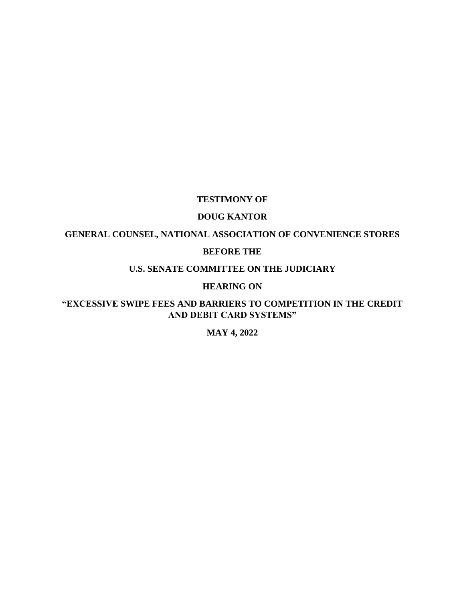#### **TESTIMONY OF**

## **DOUG KANTOR**

# **GENERAL COUNSEL, NATIONAL ASSOCIATION OF CONVENIENCE STORES**

#### **BEFORE THE**

# **U.S. SENATE COMMITTEE ON THE JUDICIARY**

#### **HEARING ON**

## **"EXCESSIVE SWIPE FEES AND BARRIERS TO COMPETITION IN THE CREDIT AND DEBIT CARD SYSTEMS"**

## **MAY 4, 2022**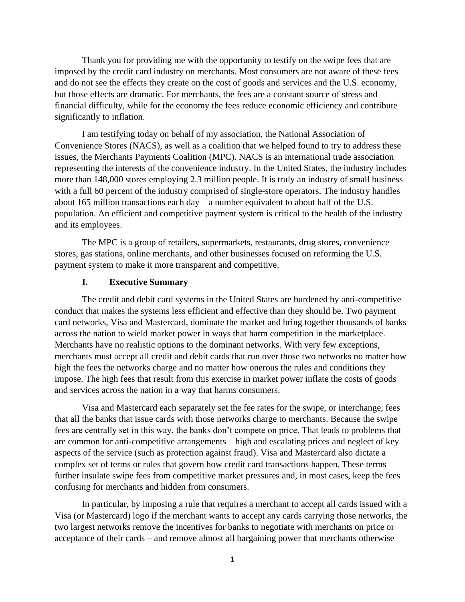Thank you for providing me with the opportunity to testify on the swipe fees that are imposed by the credit card industry on merchants. Most consumers are not aware of these fees and do not see the effects they create on the cost of goods and services and the U.S. economy, but those effects are dramatic. For merchants, the fees are a constant source of stress and financial difficulty, while for the economy the fees reduce economic efficiency and contribute significantly to inflation.

I am testifying today on behalf of my association, the National Association of Convenience Stores (NACS), as well as a coalition that we helped found to try to address these issues, the Merchants Payments Coalition (MPC). NACS is an international trade association representing the interests of the convenience industry. In the United States, the industry includes more than 148,000 stores employing 2.3 million people. It is truly an industry of small business with a full 60 percent of the industry comprised of single-store operators. The industry handles about 165 million transactions each day – a number equivalent to about half of the U.S. population. An efficient and competitive payment system is critical to the health of the industry and its employees.

The MPC is a group of retailers, supermarkets, restaurants, drug stores, convenience stores, gas stations, online merchants, and other businesses focused on reforming the U.S. payment system to make it more transparent and competitive.

#### **I. Executive Summary**

The credit and debit card systems in the United States are burdened by anti-competitive conduct that makes the systems less efficient and effective than they should be. Two payment card networks, Visa and Mastercard, dominate the market and bring together thousands of banks across the nation to wield market power in ways that harm competition in the marketplace. Merchants have no realistic options to the dominant networks. With very few exceptions, merchants must accept all credit and debit cards that run over those two networks no matter how high the fees the networks charge and no matter how onerous the rules and conditions they impose. The high fees that result from this exercise in market power inflate the costs of goods and services across the nation in a way that harms consumers.

Visa and Mastercard each separately set the fee rates for the swipe, or interchange, fees that all the banks that issue cards with those networks charge to merchants. Because the swipe fees are centrally set in this way, the banks don't compete on price. That leads to problems that are common for anti-competitive arrangements – high and escalating prices and neglect of key aspects of the service (such as protection against fraud). Visa and Mastercard also dictate a complex set of terms or rules that govern how credit card transactions happen. These terms further insulate swipe fees from competitive market pressures and, in most cases, keep the fees confusing for merchants and hidden from consumers.

In particular, by imposing a rule that requires a merchant to accept all cards issued with a Visa (or Mastercard) logo if the merchant wants to accept any cards carrying those networks, the two largest networks remove the incentives for banks to negotiate with merchants on price or acceptance of their cards – and remove almost all bargaining power that merchants otherwise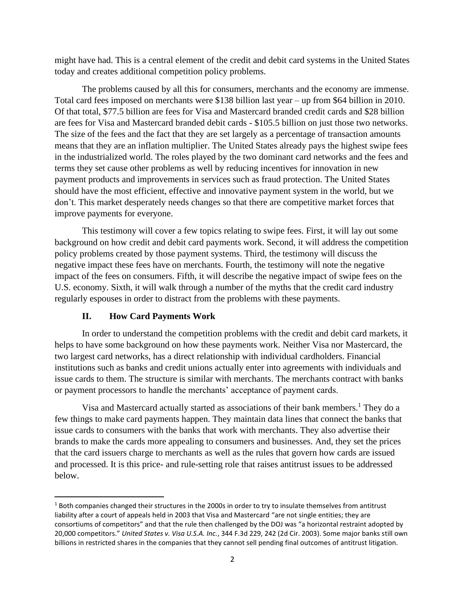might have had. This is a central element of the credit and debit card systems in the United States today and creates additional competition policy problems.

The problems caused by all this for consumers, merchants and the economy are immense. Total card fees imposed on merchants were \$138 billion last year – up from \$64 billion in 2010. Of that total, \$77.5 billion are fees for Visa and Mastercard branded credit cards and \$28 billion are fees for Visa and Mastercard branded debit cards - \$105.5 billion on just those two networks. The size of the fees and the fact that they are set largely as a percentage of transaction amounts means that they are an inflation multiplier. The United States already pays the highest swipe fees in the industrialized world. The roles played by the two dominant card networks and the fees and terms they set cause other problems as well by reducing incentives for innovation in new payment products and improvements in services such as fraud protection. The United States should have the most efficient, effective and innovative payment system in the world, but we don't. This market desperately needs changes so that there are competitive market forces that improve payments for everyone.

This testimony will cover a few topics relating to swipe fees. First, it will lay out some background on how credit and debit card payments work. Second, it will address the competition policy problems created by those payment systems. Third, the testimony will discuss the negative impact these fees have on merchants. Fourth, the testimony will note the negative impact of the fees on consumers. Fifth, it will describe the negative impact of swipe fees on the U.S. economy. Sixth, it will walk through a number of the myths that the credit card industry regularly espouses in order to distract from the problems with these payments.

#### **II. How Card Payments Work**

In order to understand the competition problems with the credit and debit card markets, it helps to have some background on how these payments work. Neither Visa nor Mastercard, the two largest card networks, has a direct relationship with individual cardholders. Financial institutions such as banks and credit unions actually enter into agreements with individuals and issue cards to them. The structure is similar with merchants. The merchants contract with banks or payment processors to handle the merchants' acceptance of payment cards.

Visa and Mastercard actually started as associations of their bank members.<sup>1</sup> They do a few things to make card payments happen. They maintain data lines that connect the banks that issue cards to consumers with the banks that work with merchants. They also advertise their brands to make the cards more appealing to consumers and businesses. And, they set the prices that the card issuers charge to merchants as well as the rules that govern how cards are issued and processed. It is this price- and rule-setting role that raises antitrust issues to be addressed below.

 $1$  Both companies changed their structures in the 2000s in order to try to insulate themselves from antitrust liability after a court of appeals held in 2003 that Visa and Mastercard "are not single entities; they are consortiums of competitors" and that the rule then challenged by the DOJ was "a horizontal restraint adopted by 20,000 competitors." *United States v. Visa U.S.A. Inc.*, 344 F.3d 229, 242 (2d Cir. 2003). Some major banks still own billions in restricted shares in the companies that they cannot sell pending final outcomes of antitrust litigation.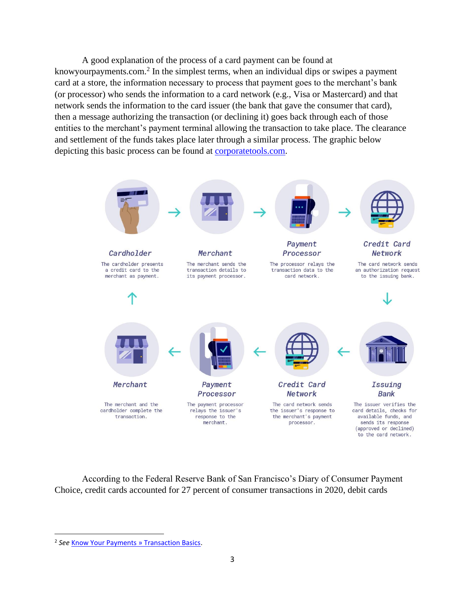A good explanation of the process of a card payment can be found at knowyourpayments.com.<sup>2</sup> In the simplest terms, when an individual dips or swipes a payment card at a store, the information necessary to process that payment goes to the merchant's bank (or processor) who sends the information to a card network (e.g., Visa or Mastercard) and that network sends the information to the card issuer (the bank that gave the consumer that card), then a message authorizing the transaction (or declining it) goes back through each of those entities to the merchant's payment terminal allowing the transaction to take place. The clearance and settlement of the funds takes place later through a similar process. The graphic below depicting this basic process can be found at [corporatetools.com.](https://www.corporatetools.com/credit-card-processing/payment-process/)



According to the Federal Reserve Bank of San Francisco's Diary of Consumer Payment Choice, credit cards accounted for 27 percent of consumer transactions in 2020, debit cards

<sup>&</sup>lt;sup>2</sup> See **Know Your Payments » Transaction Basics**.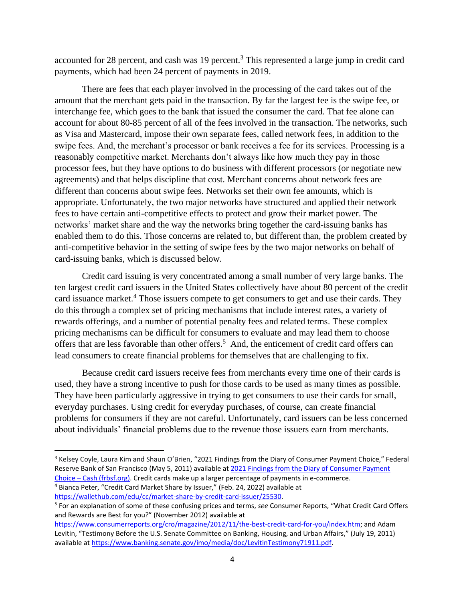accounted for 28 percent, and cash was 19 percent.<sup>3</sup> This represented a large jump in credit card payments, which had been 24 percent of payments in 2019.

There are fees that each player involved in the processing of the card takes out of the amount that the merchant gets paid in the transaction. By far the largest fee is the swipe fee, or interchange fee, which goes to the bank that issued the consumer the card. That fee alone can account for about 80-85 percent of all of the fees involved in the transaction. The networks, such as Visa and Mastercard, impose their own separate fees, called network fees, in addition to the swipe fees. And, the merchant's processor or bank receives a fee for its services. Processing is a reasonably competitive market. Merchants don't always like how much they pay in those processor fees, but they have options to do business with different processors (or negotiate new agreements) and that helps discipline that cost. Merchant concerns about network fees are different than concerns about swipe fees. Networks set their own fee amounts, which is appropriate. Unfortunately, the two major networks have structured and applied their network fees to have certain anti-competitive effects to protect and grow their market power. The networks' market share and the way the networks bring together the card-issuing banks has enabled them to do this. Those concerns are related to, but different than, the problem created by anti-competitive behavior in the setting of swipe fees by the two major networks on behalf of card-issuing banks, which is discussed below.

Credit card issuing is very concentrated among a small number of very large banks. The ten largest credit card issuers in the United States collectively have about 80 percent of the credit card issuance market.<sup>4</sup> Those issuers compete to get consumers to get and use their cards. They do this through a complex set of pricing mechanisms that include interest rates, a variety of rewards offerings, and a number of potential penalty fees and related terms. These complex pricing mechanisms can be difficult for consumers to evaluate and may lead them to choose offers that are less favorable than other offers. 5 And, the enticement of credit card offers can lead consumers to create financial problems for themselves that are challenging to fix.

Because credit card issuers receive fees from merchants every time one of their cards is used, they have a strong incentive to push for those cards to be used as many times as possible. They have been particularly aggressive in trying to get consumers to use their cards for small, everyday purchases. Using credit for everyday purchases, of course, can create financial problems for consumers if they are not careful. Unfortunately, card issuers can be less concerned about individuals' financial problems due to the revenue those issuers earn from merchants.

<sup>&</sup>lt;sup>3</sup> Kelsey Coyle, Laura Kim and Shaun O'Brien, "2021 Findings from the Diary of Consumer Payment Choice," Federal Reserve Bank of San Francisco (May 5, 2011) available at 2021 Findings from the Diary of Consumer Payment Choice – [Cash \(frbsf.org\).](https://www.frbsf.org/cash/publications/fed-notes/2021/may/2021-findings-from-the-diary-of-consumer-payment-choice/) Credit cards make up a larger percentage of payments in e-commerce.

<sup>4</sup> Bianca Peter, "Credit Card Market Share by Issuer," (Feb. 24, 2022) available at [https://wallethub.com/edu/cc/market-share-by-credit-card-issuer/25530.](https://wallethub.com/edu/cc/market-share-by-credit-card-issuer/25530)

<sup>5</sup> For an explanation of some of these confusing prices and terms, *see* Consumer Reports, "What Credit Card Offers and Rewards are Best for you?" (November 2012) available at

[https://www.consumerreports.org/cro/magazine/2012/11/the-best-credit-card-for-you/index.htm;](https://www.consumerreports.org/cro/magazine/2012/11/the-best-credit-card-for-you/index.htm) and Adam Levitin, "Testimony Before the U.S. Senate Committee on Banking, Housing, and Urban Affairs," (July 19, 2011) available a[t https://www.banking.senate.gov/imo/media/doc/LevitinTestimony71911.pdf.](https://www.banking.senate.gov/imo/media/doc/LevitinTestimony71911.pdf)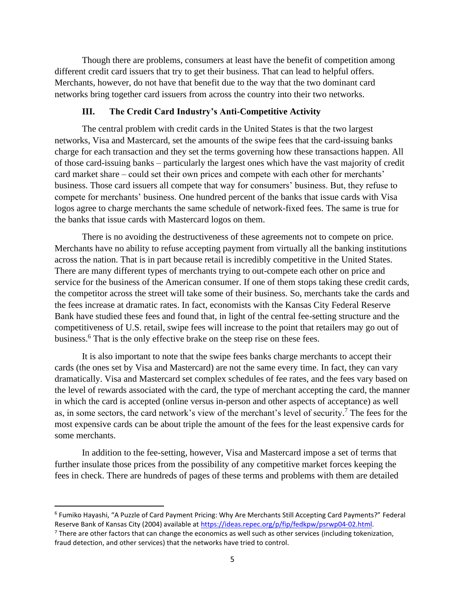Though there are problems, consumers at least have the benefit of competition among different credit card issuers that try to get their business. That can lead to helpful offers. Merchants, however, do not have that benefit due to the way that the two dominant card networks bring together card issuers from across the country into their two networks.

#### **III. The Credit Card Industry's Anti-Competitive Activity**

The central problem with credit cards in the United States is that the two largest networks, Visa and Mastercard, set the amounts of the swipe fees that the card-issuing banks charge for each transaction and they set the terms governing how these transactions happen. All of those card-issuing banks – particularly the largest ones which have the vast majority of credit card market share – could set their own prices and compete with each other for merchants' business. Those card issuers all compete that way for consumers' business. But, they refuse to compete for merchants' business. One hundred percent of the banks that issue cards with Visa logos agree to charge merchants the same schedule of network-fixed fees. The same is true for the banks that issue cards with Mastercard logos on them.

There is no avoiding the destructiveness of these agreements not to compete on price. Merchants have no ability to refuse accepting payment from virtually all the banking institutions across the nation. That is in part because retail is incredibly competitive in the United States. There are many different types of merchants trying to out-compete each other on price and service for the business of the American consumer. If one of them stops taking these credit cards, the competitor across the street will take some of their business. So, merchants take the cards and the fees increase at dramatic rates. In fact, economists with the Kansas City Federal Reserve Bank have studied these fees and found that, in light of the central fee-setting structure and the competitiveness of U.S. retail, swipe fees will increase to the point that retailers may go out of business.<sup>6</sup> That is the only effective brake on the steep rise on these fees.

It is also important to note that the swipe fees banks charge merchants to accept their cards (the ones set by Visa and Mastercard) are not the same every time. In fact, they can vary dramatically. Visa and Mastercard set complex schedules of fee rates, and the fees vary based on the level of rewards associated with the card, the type of merchant accepting the card, the manner in which the card is accepted (online versus in-person and other aspects of acceptance) as well as, in some sectors, the card network's view of the merchant's level of security. <sup>7</sup> The fees for the most expensive cards can be about triple the amount of the fees for the least expensive cards for some merchants.

In addition to the fee-setting, however, Visa and Mastercard impose a set of terms that further insulate those prices from the possibility of any competitive market forces keeping the fees in check. There are hundreds of pages of these terms and problems with them are detailed

<sup>6</sup> Fumiko Hayashi, "A Puzzle of Card Payment Pricing: Why Are Merchants Still Accepting Card Payments?" Federal Reserve Bank of Kansas City (2004) available a[t https://ideas.repec.org/p/fip/fedkpw/psrwp04-02.html.](https://ideas.repec.org/p/fip/fedkpw/psrwp04-02.html)

 $<sup>7</sup>$  There are other factors that can change the economics as well such as other services (including tokenization,</sup> fraud detection, and other services) that the networks have tried to control.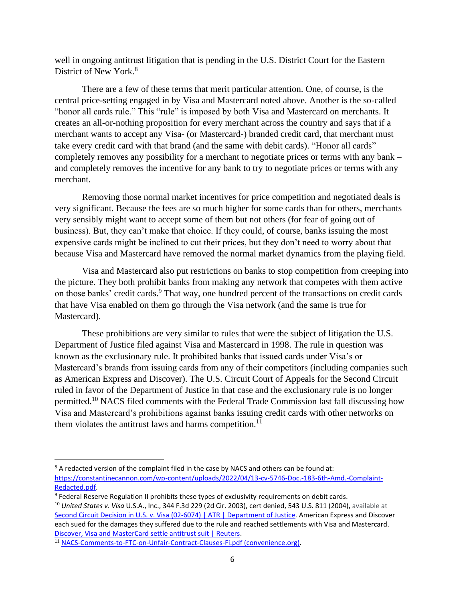well in ongoing antitrust litigation that is pending in the U.S. District Court for the Eastern District of New York.<sup>8</sup>

There are a few of these terms that merit particular attention. One, of course, is the central price-setting engaged in by Visa and Mastercard noted above. Another is the so-called "honor all cards rule." This "rule" is imposed by both Visa and Mastercard on merchants. It creates an all-or-nothing proposition for every merchant across the country and says that if a merchant wants to accept any Visa- (or Mastercard-) branded credit card, that merchant must take every credit card with that brand (and the same with debit cards). "Honor all cards" completely removes any possibility for a merchant to negotiate prices or terms with any bank – and completely removes the incentive for any bank to try to negotiate prices or terms with any merchant.

Removing those normal market incentives for price competition and negotiated deals is very significant. Because the fees are so much higher for some cards than for others, merchants very sensibly might want to accept some of them but not others (for fear of going out of business). But, they can't make that choice. If they could, of course, banks issuing the most expensive cards might be inclined to cut their prices, but they don't need to worry about that because Visa and Mastercard have removed the normal market dynamics from the playing field.

Visa and Mastercard also put restrictions on banks to stop competition from creeping into the picture. They both prohibit banks from making any network that competes with them active on those banks' credit cards.<sup>9</sup> That way, one hundred percent of the transactions on credit cards that have Visa enabled on them go through the Visa network (and the same is true for Mastercard).

These prohibitions are very similar to rules that were the subject of litigation the U.S. Department of Justice filed against Visa and Mastercard in 1998. The rule in question was known as the exclusionary rule. It prohibited banks that issued cards under Visa's or Mastercard's brands from issuing cards from any of their competitors (including companies such as American Express and Discover). The U.S. Circuit Court of Appeals for the Second Circuit ruled in favor of the Department of Justice in that case and the exclusionary rule is no longer permitted.<sup>10</sup> NACS filed comments with the Federal Trade Commission last fall discussing how Visa and Mastercard's prohibitions against banks issuing credit cards with other networks on them violates the antitrust laws and harms competition.<sup>11</sup>

<sup>&</sup>lt;sup>8</sup> A redacted version of the complaint filed in the case by NACS and others can be found at: [https://constantinecannon.com/wp-content/uploads/2022/04/13-cv-5746-Doc.-183-6th-Amd.-Complaint-](https://constantinecannon.com/wp-content/uploads/2022/04/13-cv-5746-Doc.-183-6th-Amd.-Complaint-Redacted.pdf)[Redacted.pdf.](https://constantinecannon.com/wp-content/uploads/2022/04/13-cv-5746-Doc.-183-6th-Amd.-Complaint-Redacted.pdf) 

<sup>&</sup>lt;sup>9</sup> Federal Reserve Regulation II prohibits these types of exclusivity requirements on debit cards. <sup>10</sup> *United States v*. *Visa* U.S.A., Inc., 344 F.3d 229 (2d Cir. 2003), cert denied, 543 U.S. 811 (2004), available at [Second Circuit Decision in U.S. v. Visa \(02-6074\) | ATR | Department of Justice.](https://www.justice.gov/atr/case-document/second-circuit-decision-us-v-visa-02-6074) American Express and Discover each sued for the damages they suffered due to the rule and reached settlements with Visa and Mastercard. [Discover, Visa and MasterCard settle antitrust suit | Reuters.](https://www.reuters.com/article/us-creditcards-discover/discover-visa-and-mastercard-settle-antitrust-suit-idUSTRE49D64V20081014)

<sup>11</sup> [NACS-Comments-to-FTC-on-Unfair-Contract-Clauses-Fi.pdf \(convenience.org\).](https://www.convenience.org/Media/Daily/2021/Oct/1/3-NACS-FTC-VisaMastercard-Anticompetitive_Payments/NACS-Comments-to-FTC-on-Unfair-Contract-Clauses-Fi.pdf)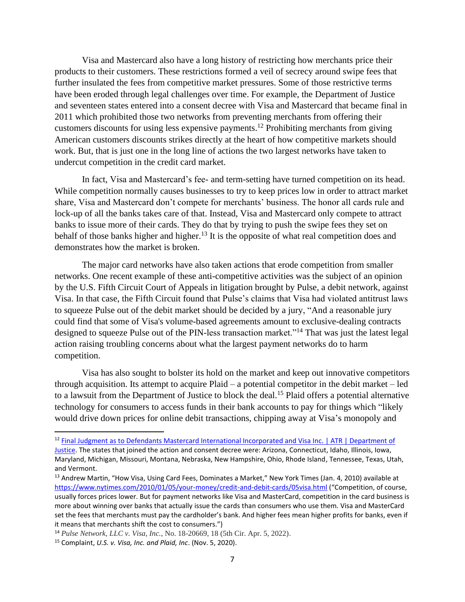Visa and Mastercard also have a long history of restricting how merchants price their products to their customers. These restrictions formed a veil of secrecy around swipe fees that further insulated the fees from competitive market pressures. Some of those restrictive terms have been eroded through legal challenges over time. For example, the Department of Justice and seventeen states entered into a consent decree with Visa and Mastercard that became final in 2011 which prohibited those two networks from preventing merchants from offering their customers discounts for using less expensive payments.<sup>12</sup> Prohibiting merchants from giving American customers discounts strikes directly at the heart of how competitive markets should work. But, that is just one in the long line of actions the two largest networks have taken to undercut competition in the credit card market.

In fact, Visa and Mastercard's fee- and term-setting have turned competition on its head. While competition normally causes businesses to try to keep prices low in order to attract market share, Visa and Mastercard don't compete for merchants' business. The honor all cards rule and lock-up of all the banks takes care of that. Instead, Visa and Mastercard only compete to attract banks to issue more of their cards. They do that by trying to push the swipe fees they set on behalf of those banks higher and higher.<sup>13</sup> It is the opposite of what real competition does and demonstrates how the market is broken.

The major card networks have also taken actions that erode competition from smaller networks. One recent example of these anti-competitive activities was the subject of an opinion by the U.S. Fifth Circuit Court of Appeals in litigation brought by Pulse, a debit network, against Visa. In that case, the Fifth Circuit found that Pulse's claims that Visa had violated antitrust laws to squeeze Pulse out of the debit market should be decided by a jury, "And a reasonable jury could find that some of Visa's volume-based agreements amount to exclusive-dealing contracts designed to squeeze Pulse out of the PIN-less transaction market."<sup>14</sup> That was just the latest legal action raising troubling concerns about what the largest payment networks do to harm competition.

Visa has also sought to bolster its hold on the market and keep out innovative competitors through acquisition. Its attempt to acquire Plaid – a potential competitor in the debit market – led to a lawsuit from the Department of Justice to block the deal.<sup>15</sup> Plaid offers a potential alternative technology for consumers to access funds in their bank accounts to pay for things which "likely would drive down prices for online debit transactions, chipping away at Visa's monopoly and

<sup>&</sup>lt;sup>12</sup> Final Judgment as to Defendants Mastercard International Incorporated and Visa Inc. | ATR | Department of [Justice.](https://www.justice.gov/atr/case-document/final-judgment-defendants-mastercard-international-incorporated-and-visa-inc) The states that joined the action and consent decree were: Arizona, Connecticut, Idaho, Illinois, Iowa, Maryland, Michigan, Missouri, Montana, Nebraska, New Hampshire, Ohio, Rhode Island, Tennessee, Texas, Utah, and Vermont.

<sup>&</sup>lt;sup>13</sup> Andrew Martin, "How Visa, Using Card Fees, Dominates a Market," New York Times (Jan. 4, 2010) available at <https://www.nytimes.com/2010/01/05/your-money/credit-and-debit-cards/05visa.html> ("Competition, of course, usually forces prices lower. But for payment networks like Visa and MasterCard, competition in the card business is more about winning over banks that actually issue the cards than consumers who use them. Visa and MasterCard set the fees that merchants must pay the cardholder's bank. And higher fees mean higher profits for banks, even if it means that merchants shift the cost to consumers.")

<sup>14</sup> *Pulse Network, LLC v. Visa, Inc.*, No. 18-20669, 18 (5th Cir. Apr. 5, 2022).

<sup>15</sup> Complaint, *U.S. v. Visa, Inc. and Plaid, Inc*. (Nov. 5, 2020).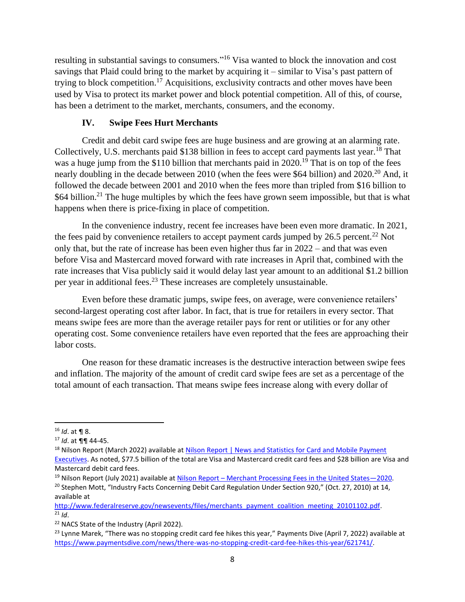resulting in substantial savings to consumers."<sup>16</sup> Visa wanted to block the innovation and cost savings that Plaid could bring to the market by acquiring it – similar to Visa's past pattern of trying to block competition.<sup>17</sup> Acquisitions, exclusivity contracts and other moves have been used by Visa to protect its market power and block potential competition. All of this, of course, has been a detriment to the market, merchants, consumers, and the economy.

## **IV. Swipe Fees Hurt Merchants**

Credit and debit card swipe fees are huge business and are growing at an alarming rate. Collectively, U.S. merchants paid \$138 billion in fees to accept card payments last year.<sup>18</sup> That was a huge jump from the \$110 billion that merchants paid in 2020.<sup>19</sup> That is on top of the fees nearly doubling in the decade between 2010 (when the fees were \$64 billion) and 2020.<sup>20</sup> And, it followed the decade between 2001 and 2010 when the fees more than tripled from \$16 billion to \$64 billion.<sup>21</sup> The huge multiples by which the fees have grown seem impossible, but that is what happens when there is price-fixing in place of competition.

In the convenience industry, recent fee increases have been even more dramatic. In 2021, the fees paid by convenience retailers to accept payment cards jumped by  $26.5$  percent.<sup>22</sup> Not only that, but the rate of increase has been even higher thus far in 2022 – and that was even before Visa and Mastercard moved forward with rate increases in April that, combined with the rate increases that Visa publicly said it would delay last year amount to an additional \$1.2 billion per year in additional fees.<sup>23</sup> These increases are completely unsustainable.

Even before these dramatic jumps, swipe fees, on average, were convenience retailers' second-largest operating cost after labor. In fact, that is true for retailers in every sector. That means swipe fees are more than the average retailer pays for rent or utilities or for any other operating cost. Some convenience retailers have even reported that the fees are approaching their labor costs.

One reason for these dramatic increases is the destructive interaction between swipe fees and inflation. The majority of the amount of credit card swipe fees are set as a percentage of the total amount of each transaction. That means swipe fees increase along with every dollar of

<sup>16</sup> *Id*. at ¶ 8.

<sup>17</sup> *Id*. at ¶¶ 44-45.

<sup>&</sup>lt;sup>18</sup> Nilson Report (March 2022) available at Nilson Report | News and Statistics for Card and Mobile Payment [Executives.](https://nilsonreport.com/) As noted, \$77.5 billion of the total are Visa and Mastercard credit card fees and \$28 billion are Visa and Mastercard debit card fees.

<sup>19</sup> Nilson Report (July 2021) available at Nilson Report – [Merchant Processing Fees in the United States](https://nilsonreport.com/mention/1443/1link/)—2020.

<sup>&</sup>lt;sup>20</sup> Stephen Mott, "Industry Facts Concerning Debit Card Regulation Under Section 920," (Oct. 27, 2010) at 14, available at

[http://www.federalreserve.gov/newsevents/files/merchants\\_payment\\_coalition\\_meeting\\_20101102.pdf.](http://www.federalreserve.gov/newsevents/files/merchants_payment_coalition_meeting_20101102.pdf)  $^{21}$  *Id.* 

<sup>&</sup>lt;sup>22</sup> NACS State of the Industry (April 2022).

 $^{23}$  Lynne Marek, "There was no stopping credit card fee hikes this year," Payments Dive (April 7, 2022) available at [https://www.paymentsdive.com/news/there-was-no-stopping-credit-card-fee-hikes-this-year/621741/.](https://www.paymentsdive.com/news/there-was-no-stopping-credit-card-fee-hikes-this-year/621741/)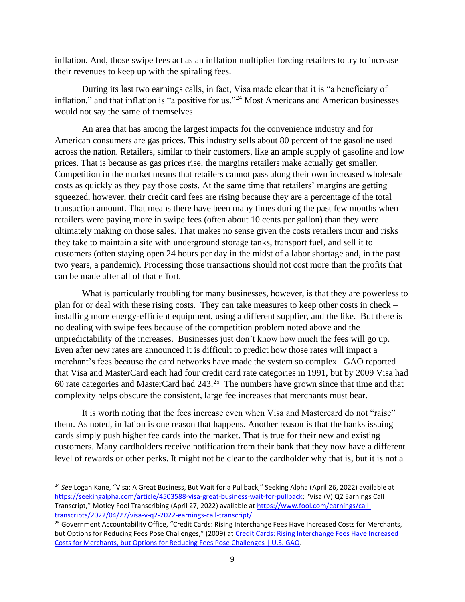inflation. And, those swipe fees act as an inflation multiplier forcing retailers to try to increase their revenues to keep up with the spiraling fees.

During its last two earnings calls, in fact, Visa made clear that it is "a beneficiary of inflation," and that inflation is "a positive for us."<sup>24</sup> Most Americans and American businesses would not say the same of themselves.

An area that has among the largest impacts for the convenience industry and for American consumers are gas prices. This industry sells about 80 percent of the gasoline used across the nation. Retailers, similar to their customers, like an ample supply of gasoline and low prices. That is because as gas prices rise, the margins retailers make actually get smaller. Competition in the market means that retailers cannot pass along their own increased wholesale costs as quickly as they pay those costs. At the same time that retailers' margins are getting squeezed, however, their credit card fees are rising because they are a percentage of the total transaction amount. That means there have been many times during the past few months when retailers were paying more in swipe fees (often about 10 cents per gallon) than they were ultimately making on those sales. That makes no sense given the costs retailers incur and risks they take to maintain a site with underground storage tanks, transport fuel, and sell it to customers (often staying open 24 hours per day in the midst of a labor shortage and, in the past two years, a pandemic). Processing those transactions should not cost more than the profits that can be made after all of that effort.

What is particularly troubling for many businesses, however, is that they are powerless to plan for or deal with these rising costs. They can take measures to keep other costs in check – installing more energy-efficient equipment, using a different supplier, and the like. But there is no dealing with swipe fees because of the competition problem noted above and the unpredictability of the increases. Businesses just don't know how much the fees will go up. Even after new rates are announced it is difficult to predict how those rates will impact a merchant's fees because the card networks have made the system so complex. GAO reported that Visa and MasterCard each had four credit card rate categories in 1991, but by 2009 Visa had 60 rate categories and MasterCard had  $243<sup>.25</sup>$  The numbers have grown since that time and that complexity helps obscure the consistent, large fee increases that merchants must bear.

It is worth noting that the fees increase even when Visa and Mastercard do not "raise" them. As noted, inflation is one reason that happens. Another reason is that the banks issuing cards simply push higher fee cards into the market. That is true for their new and existing customers. Many cardholders receive notification from their bank that they now have a different level of rewards or other perks. It might not be clear to the cardholder why that is, but it is not a

<sup>24</sup> *See* Logan Kane, "Visa: A Great Business, But Wait for a Pullback," Seeking Alpha (April 26, 2022) available at [https://seekingalpha.com/article/4503588-visa-great-business-wait-for-pullback;](https://seekingalpha.com/article/4503588-visa-great-business-wait-for-pullback) "Visa (V) Q2 Earnings Call Transcript," Motley Fool Transcribing (April 27, 2022) available a[t https://www.fool.com/earnings/call](https://www.fool.com/earnings/call-transcripts/2022/04/27/visa-v-q2-2022-earnings-call-transcript/)[transcripts/2022/04/27/visa-v-q2-2022-earnings-call-transcript/.](https://www.fool.com/earnings/call-transcripts/2022/04/27/visa-v-q2-2022-earnings-call-transcript/)

<sup>&</sup>lt;sup>25</sup> Government Accountability Office, "Credit Cards: Rising Interchange Fees Have Increased Costs for Merchants, but Options for Reducing Fees Pose Challenges," (2009) at [Credit Cards: Rising Interchange Fees Have](https://www.gao.gov/products/gao-10-45) Increased [Costs for Merchants, but Options for Reducing Fees Pose Challenges | U.S. GAO.](https://www.gao.gov/products/gao-10-45)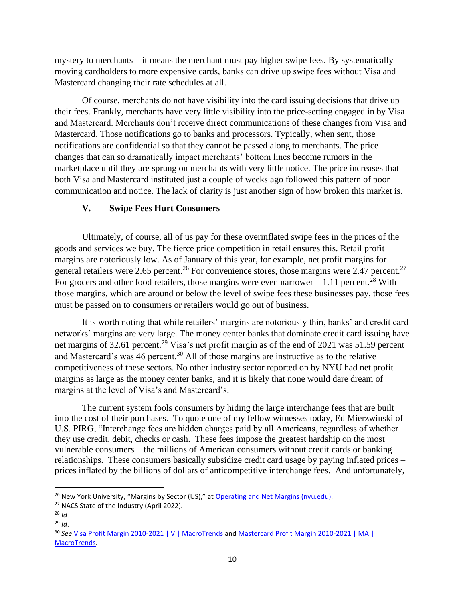mystery to merchants – it means the merchant must pay higher swipe fees. By systematically moving cardholders to more expensive cards, banks can drive up swipe fees without Visa and Mastercard changing their rate schedules at all.

Of course, merchants do not have visibility into the card issuing decisions that drive up their fees. Frankly, merchants have very little visibility into the price-setting engaged in by Visa and Mastercard. Merchants don't receive direct communications of these changes from Visa and Mastercard. Those notifications go to banks and processors. Typically, when sent, those notifications are confidential so that they cannot be passed along to merchants. The price changes that can so dramatically impact merchants' bottom lines become rumors in the marketplace until they are sprung on merchants with very little notice. The price increases that both Visa and Mastercard instituted just a couple of weeks ago followed this pattern of poor communication and notice. The lack of clarity is just another sign of how broken this market is.

### **V. Swipe Fees Hurt Consumers**

Ultimately, of course, all of us pay for these overinflated swipe fees in the prices of the goods and services we buy. The fierce price competition in retail ensures this. Retail profit margins are notoriously low. As of January of this year, for example, net profit margins for general retailers were 2.65 percent.<sup>26</sup> For convenience stores, those margins were 2.47 percent.<sup>27</sup> For grocers and other food retailers, those margins were even narrower  $-1.11$  percent.<sup>28</sup> With those margins, which are around or below the level of swipe fees these businesses pay, those fees must be passed on to consumers or retailers would go out of business.

It is worth noting that while retailers' margins are notoriously thin, banks' and credit card networks' margins are very large. The money center banks that dominate credit card issuing have net margins of 32.61 percent.<sup>29</sup> Visa's net profit margin as of the end of 2021 was 51.59 percent and Mastercard's was 46 percent.<sup>30</sup> All of those margins are instructive as to the relative competitiveness of these sectors. No other industry sector reported on by NYU had net profit margins as large as the money center banks, and it is likely that none would dare dream of margins at the level of Visa's and Mastercard's.

The current system fools consumers by hiding the large interchange fees that are built into the cost of their purchases. To quote one of my fellow witnesses today, Ed Mierzwinski of U.S. PIRG, "Interchange fees are hidden charges paid by all Americans, regardless of whether they use credit, debit, checks or cash. These fees impose the greatest hardship on the most vulnerable consumers – the millions of American consumers without credit cards or banking relationships. These consumers basically subsidize credit card usage by paying inflated prices – prices inflated by the billions of dollars of anticompetitive interchange fees. And unfortunately,

<sup>&</sup>lt;sup>26</sup> New York University, "Margins by Sector (US)," at [Operating and Net Margins](https://pages.stern.nyu.edu/~adamodar/New_Home_Page/datafile/margin.html) (nyu.edu).

<sup>&</sup>lt;sup>27</sup> NACS State of the Industry (April 2022).

<sup>28</sup> *Id*.

<sup>29</sup> *Id*.

<sup>30</sup> *See* [Visa Profit Margin 2010-2021 | V | MacroTrends](https://www.macrotrends.net/stocks/charts/V/visa/profit-margins) and [Mastercard Profit Margin 2010-2021 | MA |](https://www.macrotrends.net/stocks/charts/MA/mastercard/profit-margins)  [MacroTrends.](https://www.macrotrends.net/stocks/charts/MA/mastercard/profit-margins)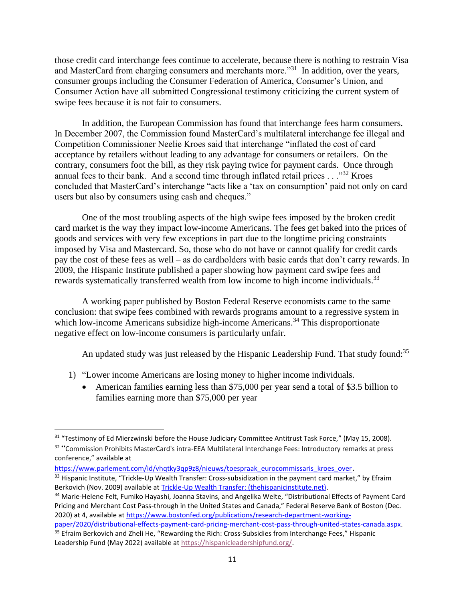those credit card interchange fees continue to accelerate, because there is nothing to restrain Visa and MasterCard from charging consumers and merchants more.<sup> $31$ </sup> In addition, over the years, consumer groups including the Consumer Federation of America, Consumer's Union, and Consumer Action have all submitted Congressional testimony criticizing the current system of swipe fees because it is not fair to consumers.

In addition, the European Commission has found that interchange fees harm consumers. In December 2007, the Commission found MasterCard's multilateral interchange fee illegal and Competition Commissioner Neelie Kroes said that interchange "inflated the cost of card acceptance by retailers without leading to any advantage for consumers or retailers. On the contrary, consumers foot the bill, as they risk paying twice for payment cards. Once through annual fees to their bank. And a second time through inflated retail prices  $\ldots$ <sup>32</sup> Kroes concluded that MasterCard's interchange "acts like a 'tax on consumption' paid not only on card users but also by consumers using cash and cheques."

One of the most troubling aspects of the high swipe fees imposed by the broken credit card market is the way they impact low-income Americans. The fees get baked into the prices of goods and services with very few exceptions in part due to the longtime pricing constraints imposed by Visa and Mastercard. So, those who do not have or cannot qualify for credit cards pay the cost of these fees as well – as do cardholders with basic cards that don't carry rewards. In 2009, the Hispanic Institute published a paper showing how payment card swipe fees and rewards systematically transferred wealth from low income to high income individuals.<sup>33</sup>

A working paper published by Boston Federal Reserve economists came to the same conclusion: that swipe fees combined with rewards programs amount to a regressive system in which low-income Americans subsidize high-income Americans.<sup>34</sup> This disproportionate negative effect on low-income consumers is particularly unfair.

An updated study was just released by the Hispanic Leadership Fund. That study found:<sup>35</sup>

- 1) "Lower income Americans are losing money to higher income individuals.
	- American families earning less than \$75,000 per year send a total of \$3.5 billion to families earning more than \$75,000 per year

[https://www.parlement.com/id/vhqtky3qp9z8/nieuws/toespraak\\_eurocommissaris\\_kroes\\_over](https://www.parlement.com/id/vhqtky3qp9z8/nieuws/toespraak_eurocommissaris_kroes_over). 33 Hispanic Institute, "Trickle-Up Wealth Transfer: Cross-subsidization in the payment card market," by Efraim Berkovich (Nov. 2009) available a[t Trickle-Up Wealth Transfer: \(thehispanicinstitute.net\).](https://www.thehispanicinstitute.net/sites/default/files/2017-08/Trickle-Up_Wealth_Transfer_Paper.pdf)

<sup>34</sup> Marie-Helene Felt, Fumiko Hayashi, Joanna Stavins, and Angelika Welte, "Distributional Effects of Payment Card Pricing and Merchant Cost Pass-through in the United States and Canada," Federal Reserve Bank of Boston (Dec. 2020) at 4, available a[t https://www.bostonfed.org/publications/research-department-working](https://www.bostonfed.org/publications/research-department-working-paper/2020/distributional-effects-payment-card-pricing-merchant-cost-pass-through-united-states-canada.aspx)[paper/2020/distributional-effects-payment-card-pricing-merchant-cost-pass-through-united-states-canada.aspx.](https://www.bostonfed.org/publications/research-department-working-paper/2020/distributional-effects-payment-card-pricing-merchant-cost-pass-through-united-states-canada.aspx)

<sup>&</sup>lt;sup>31</sup> "Testimony of Ed Mierzwinski before the House Judiciary Committee Antitrust Task Force," (May 15, 2008).

<sup>32 &</sup>quot;Commission Prohibits MasterCard's intra-EEA Multilateral Interchange Fees: Introductory remarks at press conference," available at

<sup>&</sup>lt;sup>35</sup> Efraim Berkovich and Zheli He, "Rewarding the Rich: Cross-Subsidies from Interchange Fees," Hispanic Leadership Fund (May 2022) available a[t https://hispanicleadershipfund.org/.](https://hispanicleadershipfund.org/)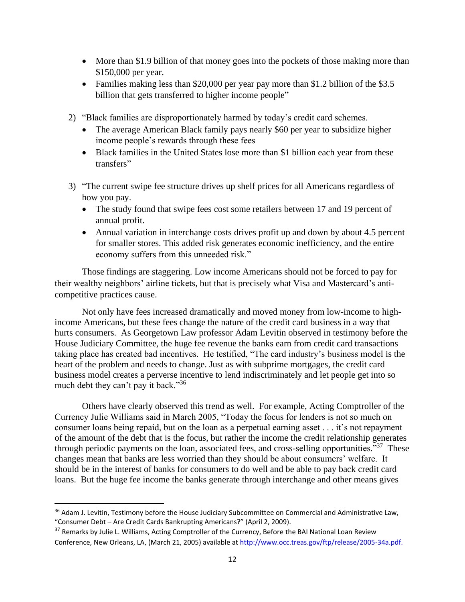- More than \$1.9 billion of that money goes into the pockets of those making more than \$150,000 per year.
- Families making less than \$20,000 per year pay more than \$1.2 billion of the \$3.5 billion that gets transferred to higher income people"
- 2) "Black families are disproportionately harmed by today's credit card schemes.
	- The average American Black family pays nearly \$60 per year to subsidize higher income people's rewards through these fees
	- Black families in the United States lose more than \$1 billion each year from these transfers"
- 3) "The current swipe fee structure drives up shelf prices for all Americans regardless of how you pay.
	- The study found that swipe fees cost some retailers between 17 and 19 percent of annual profit.
	- Annual variation in interchange costs drives profit up and down by about 4.5 percent for smaller stores. This added risk generates economic inefficiency, and the entire economy suffers from this unneeded risk."

Those findings are staggering. Low income Americans should not be forced to pay for their wealthy neighbors' airline tickets, but that is precisely what Visa and Mastercard's anticompetitive practices cause.

Not only have fees increased dramatically and moved money from low-income to highincome Americans, but these fees change the nature of the credit card business in a way that hurts consumers. As Georgetown Law professor Adam Levitin observed in testimony before the House Judiciary Committee, the huge fee revenue the banks earn from credit card transactions taking place has created bad incentives. He testified, "The card industry's business model is the heart of the problem and needs to change. Just as with subprime mortgages, the credit card business model creates a perverse incentive to lend indiscriminately and let people get into so much debt they can't pay it back."<sup>36</sup>

Others have clearly observed this trend as well. For example, Acting Comptroller of the Currency Julie Williams said in March 2005, "Today the focus for lenders is not so much on consumer loans being repaid, but on the loan as a perpetual earning asset . . . it's not repayment of the amount of the debt that is the focus, but rather the income the credit relationship generates through periodic payments on the loan, associated fees, and cross-selling opportunities."<sup>37</sup> These changes mean that banks are less worried than they should be about consumers' welfare. It should be in the interest of banks for consumers to do well and be able to pay back credit card loans. But the huge fee income the banks generate through interchange and other means gives

<sup>&</sup>lt;sup>36</sup> Adam J. Levitin, Testimony before the House Judiciary Subcommittee on Commercial and Administrative Law, "Consumer Debt – Are Credit Cards Bankrupting Americans?" (April 2, 2009).

<sup>&</sup>lt;sup>37</sup> Remarks by Julie L. Williams, Acting Comptroller of the Currency, Before the BAI National Loan Review Conference, New Orleans, LA, (March 21, 2005) available at http://www.occ.treas.gov/ftp/release/2005-34a.pdf.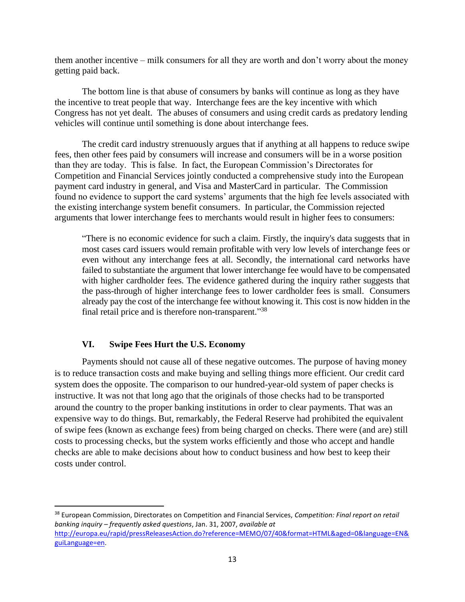them another incentive – milk consumers for all they are worth and don't worry about the money getting paid back.

The bottom line is that abuse of consumers by banks will continue as long as they have the incentive to treat people that way. Interchange fees are the key incentive with which Congress has not yet dealt. The abuses of consumers and using credit cards as predatory lending vehicles will continue until something is done about interchange fees.

The credit card industry strenuously argues that if anything at all happens to reduce swipe fees, then other fees paid by consumers will increase and consumers will be in a worse position than they are today. This is false. In fact, the European Commission's Directorates for Competition and Financial Services jointly conducted a comprehensive study into the European payment card industry in general, and Visa and MasterCard in particular. The Commission found no evidence to support the card systems' arguments that the high fee levels associated with the existing interchange system benefit consumers. In particular, the Commission rejected arguments that lower interchange fees to merchants would result in higher fees to consumers:

"There is no economic evidence for such a claim. Firstly, the inquiry's data suggests that in most cases card issuers would remain profitable with very low levels of interchange fees or even without any interchange fees at all. Secondly, the international card networks have failed to substantiate the argument that lower interchange fee would have to be compensated with higher cardholder fees. The evidence gathered during the inquiry rather suggests that the pass-through of higher interchange fees to lower cardholder fees is small. Consumers already pay the cost of the interchange fee without knowing it. This cost is now hidden in the final retail price and is therefore non-transparent."38

### **VI. Swipe Fees Hurt the U.S. Economy**

Payments should not cause all of these negative outcomes. The purpose of having money is to reduce transaction costs and make buying and selling things more efficient. Our credit card system does the opposite. The comparison to our hundred-year-old system of paper checks is instructive. It was not that long ago that the originals of those checks had to be transported around the country to the proper banking institutions in order to clear payments. That was an expensive way to do things. But, remarkably, the Federal Reserve had prohibited the equivalent of swipe fees (known as exchange fees) from being charged on checks. There were (and are) still costs to processing checks, but the system works efficiently and those who accept and handle checks are able to make decisions about how to conduct business and how best to keep their costs under control.

<sup>38</sup> European Commission, Directorates on Competition and Financial Services, *Competition: Final report on retail banking inquiry – frequently asked questions*, Jan. 31, 2007, *available at* [http://europa.eu/rapid/pressReleasesAction.do?reference=MEMO/07/40&format=HTML&aged=0&language=EN&](http://europa.eu/rapid/pressReleasesAction.do?reference=MEMO/07/40&format=HTML&aged=0&language=EN&guiLanguage=en) [guiLanguage=en.](http://europa.eu/rapid/pressReleasesAction.do?reference=MEMO/07/40&format=HTML&aged=0&language=EN&guiLanguage=en)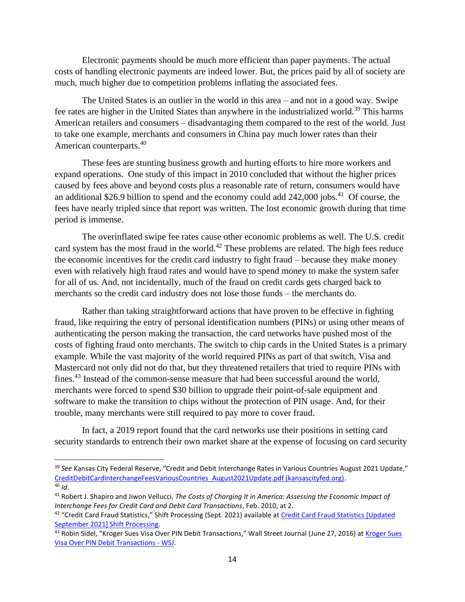Electronic payments should be much more efficient than paper payments. The actual costs of handling electronic payments are indeed lower. But, the prices paid by all of society are much, much higher due to competition problems inflating the associated fees.

The United States is an outlier in the world in this area – and not in a good way. Swipe fee rates are higher in the United States than anywhere in the industrialized world.<sup>39</sup> This harms American retailers and consumers – disadvantaging them compared to the rest of the world. Just to take one example, merchants and consumers in China pay much lower rates than their American counterparts.<sup>40</sup>

These fees are stunting business growth and hurting efforts to hire more workers and expand operations. One study of this impact in 2010 concluded that without the higher prices caused by fees above and beyond costs plus a reasonable rate of return, consumers would have an additional \$26.9 billion to spend and the economy could add  $242,000$  jobs.<sup>41</sup> Of course, the fees have nearly tripled since that report was written. The lost economic growth during that time period is immense.

The overinflated swipe fee rates cause other economic problems as well. The U.S. credit card system has the most fraud in the world.<sup>42</sup> These problems are related. The high fees reduce the economic incentives for the credit card industry to fight fraud – because they make money even with relatively high fraud rates and would have to spend money to make the system safer for all of us. And, not incidentally, much of the fraud on credit cards gets charged back to merchants so the credit card industry does not lose those funds – the merchants do.

Rather than taking straightforward actions that have proven to be effective in fighting fraud, like requiring the entry of personal identification numbers (PINs) or using other means of authenticating the person making the transaction, the card networks have pushed most of the costs of fighting fraud onto merchants. The switch to chip cards in the United States is a primary example. While the vast majority of the world required PINs as part of that switch, Visa and Mastercard not only did not do that, but they threatened retailers that tried to require PINs with fines.<sup>43</sup> Instead of the common-sense measure that had been successful around the world, merchants were forced to spend \$30 billion to upgrade their point-of-sale equipment and software to make the transition to chips without the protection of PIN usage. And, for their trouble, many merchants were still required to pay more to cover fraud.

In fact, a 2019 report found that the card networks use their positions in setting card security standards to entrench their own market share at the expense of focusing on card security

<sup>39</sup> *See* Kansas City Federal Reserve, "Credit and Debit Interchange Rates in Various Countries August 2021 Update," [CreditDebitCardInterchangeFeesVariousCountries\\_August2021Update.pdf \(kansascityfed.org\).](https://www.kansascityfed.org/documents/8288/CreditDebitCardInterchangeFeesVariousCountries_August2021Update.pdf)

<sup>40</sup> *Id*.

<sup>41</sup> Robert J. Shapiro and Jiwon Vellucci, *The Costs of Charging It in America: Assessing the Economic Impact of Interchange Fees for Credit Card and Debit Card Transactions*, Feb. 2010, at 2.

<sup>&</sup>lt;sup>42</sup> "Credit Card Fraud Statistics," Shift Processing (Sept. 2021) available at Credit Card Fraud Statistics [Updated [September 2021\] Shift Processing.](https://shiftprocessing.com/credit-card-fraud-statistics/)

<sup>&</sup>lt;sup>43</sup> Robin Sidel, "Kroger Sues Visa Over PIN Debit Transactions," Wall Street Journal (June 27, 2016) at Kroger Sues [Visa Over PIN Debit Transactions -](https://www.wsj.com/articles/kroger-sues-visa-over-pin-debit-transactions-1467047798#:~:text=Kroger%20said%20Visa%20levied%20fines,accept%20all%20Visa%20debit%20cards.) WSJ.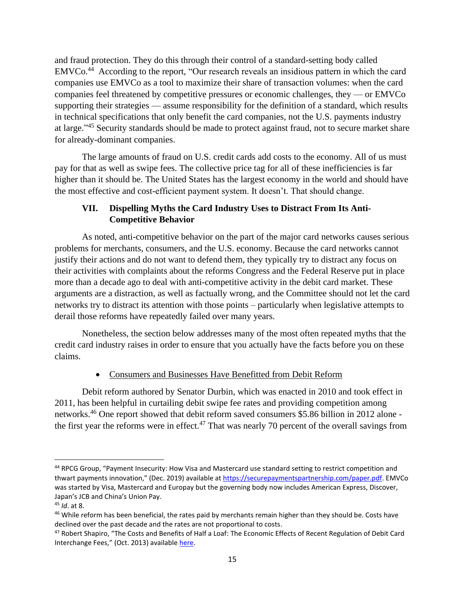and fraud protection. They do this through their control of a standard-setting body called  $EMVC<sub>0</sub><sup>44</sup>$  According to the report, "Our research reveals an insidious pattern in which the card companies use EMVCo as a tool to maximize their share of transaction volumes: when the card companies feel threatened by competitive pressures or economic challenges, they — or EMVCo supporting their strategies — assume responsibility for the definition of a standard, which results in technical specifications that only benefit the card companies, not the U.S. payments industry at large."<sup>45</sup> Security standards should be made to protect against fraud, not to secure market share for already-dominant companies.

The large amounts of fraud on U.S. credit cards add costs to the economy. All of us must pay for that as well as swipe fees. The collective price tag for all of these inefficiencies is far higher than it should be. The United States has the largest economy in the world and should have the most effective and cost-efficient payment system. It doesn't. That should change.

# **VII. Dispelling Myths the Card Industry Uses to Distract From Its Anti-Competitive Behavior**

As noted, anti-competitive behavior on the part of the major card networks causes serious problems for merchants, consumers, and the U.S. economy. Because the card networks cannot justify their actions and do not want to defend them, they typically try to distract any focus on their activities with complaints about the reforms Congress and the Federal Reserve put in place more than a decade ago to deal with anti-competitive activity in the debit card market. These arguments are a distraction, as well as factually wrong, and the Committee should not let the card networks try to distract its attention with those points – particularly when legislative attempts to derail those reforms have repeatedly failed over many years.

Nonetheless, the section below addresses many of the most often repeated myths that the credit card industry raises in order to ensure that you actually have the facts before you on these claims.

# • Consumers and Businesses Have Benefitted from Debit Reform

Debit reform authored by Senator Durbin, which was enacted in 2010 and took effect in 2011, has been helpful in curtailing debit swipe fee rates and providing competition among networks.<sup>46</sup> One report showed that debit reform saved consumers \$5.86 billion in 2012 alone the first year the reforms were in effect.<sup>47</sup> That was nearly 70 percent of the overall savings from

<sup>44</sup> RPCG Group, "Payment Insecurity: How Visa and Mastercard use standard setting to restrict competition and thwart payments innovation," (Dec. 2019) available at [https://securepaymentspartnership.com/paper.pdf.](https://securepaymentspartnership.com/paper.pdf) EMVCo was started by Visa, Mastercard and Europay but the governing body now includes American Express, Discover, Japan's JCB and China's Union Pay.

<sup>45</sup> *Id*. at 8.

<sup>&</sup>lt;sup>46</sup> While reform has been beneficial, the rates paid by merchants remain higher than they should be. Costs have declined over the past decade and the rates are not proportional to costs.

<sup>&</sup>lt;sup>47</sup> Robert Shapiro, "The Costs and Benefits of Half a Loaf: The Economic Effects of Recent Regulation of Debit Card Interchange Fees," (Oct. 2013) available [here.](https://deliverypdf.ssrn.com/delivery.php?ID=809117069101031089086097121086023074000085037059021024124065101030008025090091010110060097037059060026020097007127024114123108025086030014047011025119076007011096090017035095088106124069116026113095120100069114001104127078089003087066119001106065003&EXT=pdf&INDEX=TRUE)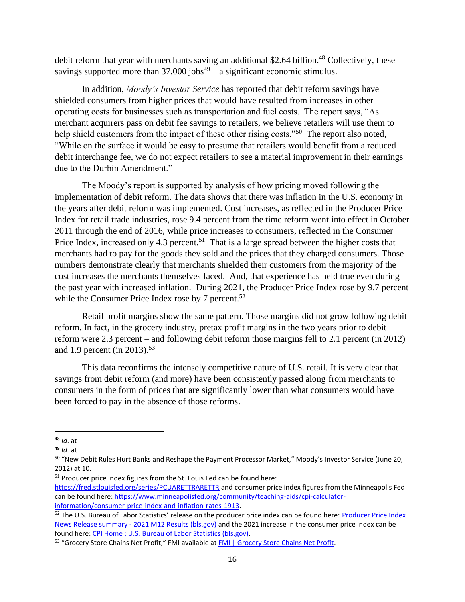debit reform that year with merchants saving an additional \$2.64 billion.<sup>48</sup> Collectively, these savings supported more than  $37,000$  jobs<sup>49</sup> – a significant economic stimulus.

In addition, *Moody's Investor Service* has reported that debit reform savings have shielded consumers from higher prices that would have resulted from increases in other operating costs for businesses such as transportation and fuel costs. The report says, "As merchant acquirers pass on debit fee savings to retailers, we believe retailers will use them to help shield customers from the impact of these other rising costs."<sup>50</sup> The report also noted, "While on the surface it would be easy to presume that retailers would benefit from a reduced debit interchange fee, we do not expect retailers to see a material improvement in their earnings due to the Durbin Amendment."

The Moody's report is supported by analysis of how pricing moved following the implementation of debit reform. The data shows that there was inflation in the U.S. economy in the years after debit reform was implemented. Cost increases, as reflected in the Producer Price Index for retail trade industries, rose 9.4 percent from the time reform went into effect in October 2011 through the end of 2016, while price increases to consumers, reflected in the Consumer Price Index, increased only 4.3 percent.<sup>51</sup> That is a large spread between the higher costs that merchants had to pay for the goods they sold and the prices that they charged consumers. Those numbers demonstrate clearly that merchants shielded their customers from the majority of the cost increases the merchants themselves faced. And, that experience has held true even during the past year with increased inflation. During 2021, the Producer Price Index rose by 9.7 percent while the Consumer Price Index rose by 7 percent.<sup>52</sup>

Retail profit margins show the same pattern. Those margins did not grow following debit reform. In fact, in the grocery industry, pretax profit margins in the two years prior to debit reform were 2.3 percent – and following debit reform those margins fell to 2.1 percent (in 2012) and 1.9 percent (in 2013).<sup>53</sup>

This data reconfirms the intensely competitive nature of U.S. retail. It is very clear that savings from debit reform (and more) have been consistently passed along from merchants to consumers in the form of prices that are significantly lower than what consumers would have been forced to pay in the absence of those reforms.

<sup>48</sup> *Id*. at

<sup>49</sup> *Id*. at

<sup>50</sup> "New Debit Rules Hurt Banks and Reshape the Payment Processor Market," Moody's Investor Service (June 20, 2012) at 10.

<sup>&</sup>lt;sup>51</sup> Producer price index figures from the St. Louis Fed can be found here:

<https://fred.stlouisfed.org/series/PCUARETTRARETTR> and consumer price index figures from the Minneapolis Fed can be found here: [https://www.minneapolisfed.org/community/teaching-aids/cpi-calculator](https://www.minneapolisfed.org/community/teaching-aids/cpi-calculator-information/consumer-price-index-and-inflation-rates-1913)[information/consumer-price-index-and-inflation-rates-1913.](https://www.minneapolisfed.org/community/teaching-aids/cpi-calculator-information/consumer-price-index-and-inflation-rates-1913)

<sup>&</sup>lt;sup>52</sup> The U.S. Bureau of Labor Statistics' release on the producer price index can be found here: Producer Price Index News Release summary - [2021 M12 Results \(bls.gov\)](https://www.bls.gov/news.release/ppi.nr0.htm) and the 2021 increase in the consumer price index can be found here: [CPI Home : U.S. Bureau of Labor Statistics \(bls.gov\).](https://www.bls.gov/cpi/)

<sup>53 &</sup>quot;Grocery Store Chains Net Profit," FMI available at [FMI | Grocery Store Chains Net Profit.](https://www.fmi.org/our-research/supermarket-facts/grocery-store-chains-net-profit)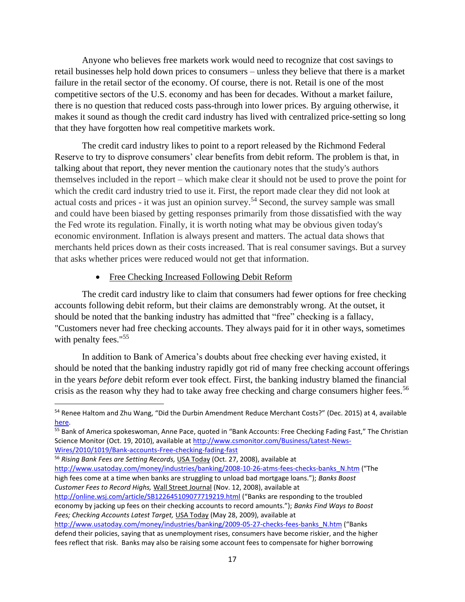Anyone who believes free markets work would need to recognize that cost savings to retail businesses help hold down prices to consumers – unless they believe that there is a market failure in the retail sector of the economy. Of course, there is not. Retail is one of the most competitive sectors of the U.S. economy and has been for decades. Without a market failure, there is no question that reduced costs pass-through into lower prices. By arguing otherwise, it makes it sound as though the credit card industry has lived with centralized price-setting so long that they have forgotten how real competitive markets work.

The credit card industry likes to point to a report released by the Richmond Federal Reserve to try to disprove consumers' clear benefits from debit reform. The problem is that, in talking about that report, they never mention the cautionary notes that the study's authors themselves included in the report – which make clear it should not be used to prove the point for which the credit card industry tried to use it. First, the report made clear they did not look at actual costs and prices - it was just an opinion survey.<sup>54</sup> Second, the survey sample was small and could have been biased by getting responses primarily from those dissatisfied with the way the Fed wrote its regulation. Finally, it is worth noting what may be obvious given today's economic environment. Inflation is always present and matters. The actual data shows that merchants held prices down as their costs increased. That is real consumer savings. But a survey that asks whether prices were reduced would not get that information.

#### • Free Checking Increased Following Debit Reform

The credit card industry like to claim that consumers had fewer options for free checking accounts following debit reform, but their claims are demonstrably wrong. At the outset, it should be noted that the banking industry has admitted that "free" checking is a fallacy, "Customers never had free checking accounts. They always paid for it in other ways, sometimes with penalty fees."<sup>55</sup>

In addition to Bank of America's doubts about free checking ever having existed, it should be noted that the banking industry rapidly got rid of many free checking account offerings in the years *before* debit reform ever took effect. First, the banking industry blamed the financial crisis as the reason why they had to take away free checking and charge consumers higher fees.<sup>56</sup>

<sup>56</sup> *Rising Bank Fees are Setting Records,* USA Today (Oct. 27, 2008), available at [http://www.usatoday.com/money/industries/banking/2008-10-26-atms-fees-checks-banks\\_N.htm](http://www.usatoday.com/money/industries/banking/2008-10-26-atms-fees-checks-banks_N.htm) ("The high fees come at a time when banks are struggling to unload bad mortgage loans."); *Banks Boost Customer Fees to Record Highs,* Wall Street Journal (Nov. 12, 2008), available at <http://online.wsj.com/article/SB122645109077719219.html> ("Banks are responding to the troubled economy by jacking up fees on their checking accounts to record amounts."); *Banks Find Ways to Boost Fees; Checking Accounts Latest Target,* USA Today (May 28, 2009), available at

<sup>&</sup>lt;sup>54</sup> Renee Haltom and Zhu Wang, "Did the Durbin Amendment Reduce Merchant Costs?" (Dec. 2015) at 4, available [here.](https://www.richmondfed.org/publications/research/economic_brief/2015/eb_15-12)

<sup>55</sup> Bank of America spokeswoman, Anne Pace, quoted in "Bank Accounts: Free Checking Fading Fast," The Christian Science Monitor (Oct. 19, 2010), available at [http://www.csmonitor.com/Business/Latest-News-](http://www.csmonitor.com/Business/Latest-News-Wires/2010/1019/Bank-accounts-Free-checking-fading-fast)[Wires/2010/1019/Bank-accounts-Free-checking-fading-fast](http://www.csmonitor.com/Business/Latest-News-Wires/2010/1019/Bank-accounts-Free-checking-fading-fast)

[http://www.usatoday.com/money/industries/banking/2009-05-27-checks-fees-banks\\_N.htm](http://www.usatoday.com/money/industries/banking/2009-05-27-checks-fees-banks_N.htm) ("Banks defend their policies, saying that as unemployment rises, consumers have become riskier, and the higher fees reflect that risk. Banks may also be raising some account fees to compensate for higher borrowing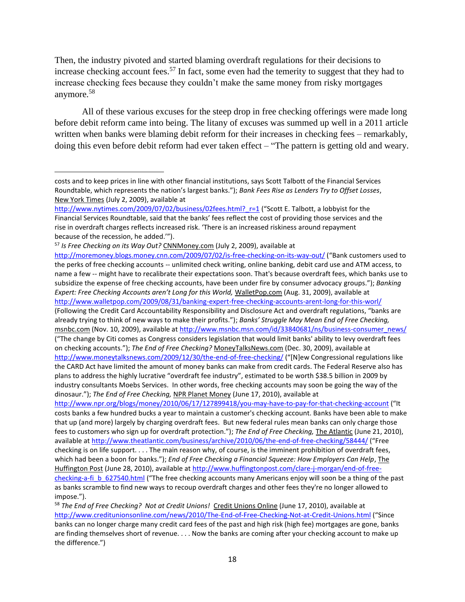Then, the industry pivoted and started blaming overdraft regulations for their decisions to increase checking account fees.<sup>57</sup> In fact, some even had the temerity to suggest that they had to increase checking fees because they couldn't make the same money from risky mortgages anymore.<sup>58</sup>

All of these various excuses for the steep drop in free checking offerings were made long before debit reform came into being. The litany of excuses was summed up well in a 2011 article written when banks were blaming debit reform for their increases in checking fees – remarkably, doing this even before debit reform had ever taken effect – "The pattern is getting old and weary.

<sup>57</sup> *Is Free Checking on its Way Out?* CNNMoney.com (July 2, 2009), available at

<http://moremoney.blogs.money.cnn.com/2009/07/02/is-free-checking-on-its-way-out/> ("Bank customers used to the perks of free checking accounts -- unlimited check writing, online banking, debit card use and ATM access, to name a few -- might have to recalibrate their expectations soon. That's because overdraft fees, which banks use to subsidize the expense of free checking accounts, have been under fire by consumer advocacy groups."); *Banking Expert: Free Checking Accounts aren't Long for this World,* WalletPop.com (Aug. 31, 2009), available at <http://www.walletpop.com/2009/08/31/banking-expert-free-checking-accounts-arent-long-for-this-worl/> (Following the Credit Card Accountability Responsibility and Disclosure Act and overdraft regulations, "banks are already trying to think of new ways to make their profits."); *Banks' Struggle May Mean End of Free Checking,*  msnbc.com (Nov. 10, 2009), available a[t http://www.msnbc.msn.com/id/33840681/ns/business-consumer\\_news/](http://www.msnbc.msn.com/id/33840681/ns/business-consumer_news/) ("The change by Citi comes as Congress considers legislation that would limit banks' ability to levy overdraft fees on checking accounts."); *The End of Free Checking?* MoneyTalksNews.com (Dec. 30, 2009), available at <http://www.moneytalksnews.com/2009/12/30/the-end-of-free-checking/> ("[N]ew Congressional regulations like the CARD Act have limited the amount of money banks can make from credit cards. The Federal Reserve also has plans to address the highly lucrative "overdraft fee industry", estimated to be worth \$38.5 billion in 2009 by industry consultants Moebs Services. In other words, free checking accounts may soon be going the way of the dinosaur."); *The End of Free Checking,* NPR Planet Money (June 17, 2010), available at <http://www.npr.org/blogs/money/2010/06/17/127899418/you-may-have-to-pay-for-that-checking-account> ("It

costs banks a few hundred bucks a year to maintain a customer's checking account. Banks have been able to make that up (and more) largely by charging overdraft fees. But new federal rules mean banks can only charge those fees to customers who sign up for overdraft protection."); *The End of Free Checking,* The Atlantic (June 21, 2010), available a[t http://www.theatlantic.com/business/archive/2010/06/the-end-of-free-checking/58444/](http://www.theatlantic.com/business/archive/2010/06/the-end-of-free-checking/58444/) ("Free checking is on life support. . . . The main reason why, of course, is the imminent prohibition of overdraft fees, which had been a boon for banks."); *End of Free Checking a Financial Squeeze: How Employers Can Help*, The Huffington Post (June 28, 2010), available a[t http://www.huffingtonpost.com/clare-j-morgan/end-of-free](http://www.huffingtonpost.com/clare-j-morgan/end-of-free-checking-a-fi_b_627540.html)[checking-a-fi\\_b\\_627540.html](http://www.huffingtonpost.com/clare-j-morgan/end-of-free-checking-a-fi_b_627540.html) ("The free checking accounts many Americans enjoy will soon be a thing of the past as banks scramble to find new ways to recoup overdraft charges and other fees they're no longer allowed to impose.").

costs and to keep prices in line with other financial institutions, says Scott Talbott of the Financial Services Roundtable, which represents the nation's largest banks."); *Bank Fees Rise as Lenders Try to Offset Losses*, New York Times (July 2, 2009), available at

[http://www.nytimes.com/2009/07/02/business/02fees.html?\\_r=1](http://www.nytimes.com/2009/07/02/business/02fees.html?_r=1) ("Scott E. Talbott, a lobbyist for the Financial Services Roundtable, said that the banks' fees reflect the cost of providing those services and the rise in overdraft charges reflects increased risk. 'There is an increased riskiness around repayment because of the recession, he added.'").

<sup>58</sup> *The End of Free Checking? Not at Credit Unions!* Credit Unions Online (June 17, 2010), available at <http://www.creditunionsonline.com/news/2010/The-End-of-Free-Checking-Not-at-Credit-Unions.html> ("Since banks can no longer charge many credit card fees of the past and high risk (high fee) mortgages are gone, banks are finding themselves short of revenue. . . . Now the banks are coming after your checking account to make up the difference.")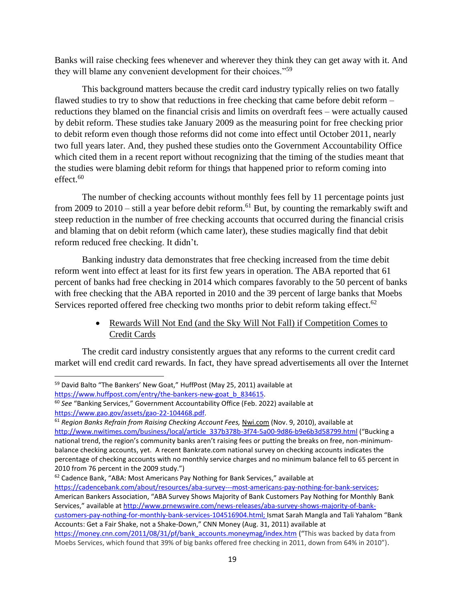Banks will raise checking fees whenever and wherever they think they can get away with it. And they will blame any convenient development for their choices."<sup>59</sup>

This background matters because the credit card industry typically relies on two fatally flawed studies to try to show that reductions in free checking that came before debit reform – reductions they blamed on the financial crisis and limits on overdraft fees – were actually caused by debit reform. These studies take January 2009 as the measuring point for free checking prior to debit reform even though those reforms did not come into effect until October 2011, nearly two full years later. And, they pushed these studies onto the Government Accountability Office which cited them in a recent report without recognizing that the timing of the studies meant that the studies were blaming debit reform for things that happened prior to reform coming into effect. $60$ 

The number of checking accounts without monthly fees fell by 11 percentage points just from 2009 to 2010 – still a year before debit reform.<sup>61</sup> But, by counting the remarkably swift and steep reduction in the number of free checking accounts that occurred during the financial crisis and blaming that on debit reform (which came later), these studies magically find that debit reform reduced free checking. It didn't.

Banking industry data demonstrates that free checking increased from the time debit reform went into effect at least for its first few years in operation. The ABA reported that 61 percent of banks had free checking in 2014 which compares favorably to the 50 percent of banks with free checking that the ABA reported in 2010 and the 39 percent of large banks that Moebs Services reported offered free checking two months prior to debit reform taking effect.<sup>62</sup>

> • Rewards Will Not End (and the Sky Will Not Fall) if Competition Comes to Credit Cards

The credit card industry consistently argues that any reforms to the current credit card market will end credit card rewards. In fact, they have spread advertisements all over the Internet

[customers-pay-nothing-for-monthly-bank-services-104516904.html;](http://www.prnewswire.com/news-releases/aba-survey-shows-majority-of-bank-customers-pay-nothing-for-monthly-bank-services-104516904.html) Ismat Sarah Mangla and Tali Yahalom "Bank Accounts: Get a Fair Shake, not a Shake-Down," CNN Money (Aug. 31, 2011) available at

<sup>&</sup>lt;sup>59</sup> David Balto "The Bankers' New Goat," HuffPost (May 25, 2011) available at

https://www.huffpost.com/entry/the-bankers-new-goat\_b\_834615.

<sup>60</sup> *See* "Banking Services," Government Accountability Office (Feb. 2022) available at [https://www.gao.gov/assets/gao-22-104468.pdf.](https://www.gao.gov/assets/gao-22-104468.pdf) 

<sup>&</sup>lt;sup>61</sup> Region Banks Refrain from Raising Checking Account Fees, Nwi.com (Nov. 9, 2010), available at [http://www.nwitimes.com/business/local/article\\_337b378b-3f74-5a00-9d86-b9e6b3d58799.html](http://www.nwitimes.com/business/local/article_337b378b-3f74-5a00-9d86-b9e6b3d58799.html) ("Bucking a national trend, the region's community banks aren't raising fees or putting the breaks on free, non-minimumbalance checking accounts, yet. A recent Bankrate.com national survey on checking accounts indicates the percentage of checking accounts with no monthly service charges and no minimum balance fell to 65 percent in 2010 from 76 percent in the 2009 study.")

<sup>62</sup> Cadence Bank, "ABA: Most Americans Pay Nothing for Bank Services," available at

[https://cadencebank.com/about/resources/aba-survey---most-americans-pay-nothing-for-bank-services;](https://cadencebank.com/about/resources/aba-survey---most-americans-pay-nothing-for-bank-services) American Bankers Association, "ABA Survey Shows Majority of Bank Customers Pay Nothing for Monthly Bank Services," available at [http://www.prnewswire.com/news-releases/aba-survey-shows-majority-of-bank-](http://www.prnewswire.com/news-releases/aba-survey-shows-majority-of-bank-customers-pay-nothing-for-monthly-bank-services-104516904.html)

[https://money.cnn.com/2011/08/31/pf/bank\\_accounts.moneymag/index.htm](https://money.cnn.com/2011/08/31/pf/bank_accounts.moneymag/index.htm) ("This was backed by data from Moebs Services, which found that 39% of big banks offered free checking in 2011, down from 64% in 2010").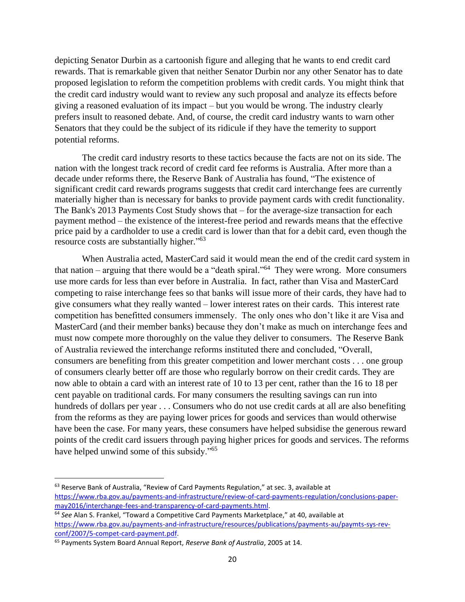depicting Senator Durbin as a cartoonish figure and alleging that he wants to end credit card rewards. That is remarkable given that neither Senator Durbin nor any other Senator has to date proposed legislation to reform the competition problems with credit cards. You might think that the credit card industry would want to review any such proposal and analyze its effects before giving a reasoned evaluation of its impact – but you would be wrong. The industry clearly prefers insult to reasoned debate. And, of course, the credit card industry wants to warn other Senators that they could be the subject of its ridicule if they have the temerity to support potential reforms.

The credit card industry resorts to these tactics because the facts are not on its side. The nation with the longest track record of credit card fee reforms is Australia. After more than a decade under reforms there, the Reserve Bank of Australia has found, "The existence of significant credit card rewards programs suggests that credit card interchange fees are currently materially higher than is necessary for banks to provide payment cards with credit functionality. The Bank's 2013 Payments Cost Study shows that – for the average-size transaction for each payment method – the existence of the interest-free period and rewards means that the effective price paid by a cardholder to use a credit card is lower than that for a debit card, even though the resource costs are substantially higher."<sup>63</sup>

When Australia acted, MasterCard said it would mean the end of the credit card system in that nation – arguing that there would be a "death spiral."<sup>64</sup> They were wrong. More consumers use more cards for less than ever before in Australia. In fact, rather than Visa and MasterCard competing to raise interchange fees so that banks will issue more of their cards, they have had to give consumers what they really wanted – lower interest rates on their cards. This interest rate competition has benefitted consumers immensely. The only ones who don't like it are Visa and MasterCard (and their member banks) because they don't make as much on interchange fees and must now compete more thoroughly on the value they deliver to consumers. The Reserve Bank of Australia reviewed the interchange reforms instituted there and concluded, "Overall, consumers are benefiting from this greater competition and lower merchant costs . . . one group of consumers clearly better off are those who regularly borrow on their credit cards. They are now able to obtain a card with an interest rate of 10 to 13 per cent, rather than the 16 to 18 per cent payable on traditional cards. For many consumers the resulting savings can run into hundreds of dollars per year . . . Consumers who do not use credit cards at all are also benefiting from the reforms as they are paying lower prices for goods and services than would otherwise have been the case. For many years, these consumers have helped subsidise the generous reward points of the credit card issuers through paying higher prices for goods and services. The reforms have helped unwind some of this subsidy."<sup>65</sup>

<sup>&</sup>lt;sup>63</sup> Reserve Bank of Australia, "Review of Card Payments Regulation," at sec. 3, available at [https://www.rba.gov.au/payments-and-infrastructure/review-of-card-payments-regulation/conclusions-paper](https://www.rba.gov.au/payments-and-infrastructure/review-of-card-payments-regulation/conclusions-paper-may2016/interchange-fees-and-transparency-of-card-payments.html)[may2016/interchange-fees-and-transparency-of-card-payments.html.](https://www.rba.gov.au/payments-and-infrastructure/review-of-card-payments-regulation/conclusions-paper-may2016/interchange-fees-and-transparency-of-card-payments.html) 

<sup>64</sup> *See* Alan S. Frankel, "Toward a Competitive Card Payments Marketplace," at 40, available at [https://www.rba.gov.au/payments-and-infrastructure/resources/publications/payments-au/paymts-sys-rev](https://www.rba.gov.au/payments-and-infrastructure/resources/publications/payments-au/paymts-sys-rev-conf/2007/5-compet-card-payment.pdf)[conf/2007/5-compet-card-payment.pdf.](https://www.rba.gov.au/payments-and-infrastructure/resources/publications/payments-au/paymts-sys-rev-conf/2007/5-compet-card-payment.pdf)

<sup>65</sup> Payments System Board Annual Report, *Reserve Bank of Australia*, 2005 at 14.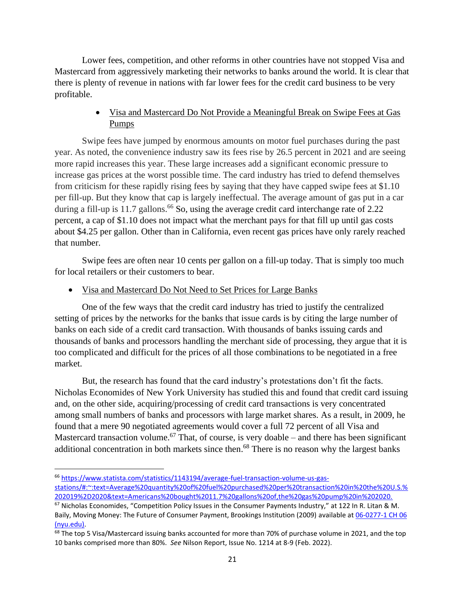Lower fees, competition, and other reforms in other countries have not stopped Visa and Mastercard from aggressively marketing their networks to banks around the world. It is clear that there is plenty of revenue in nations with far lower fees for the credit card business to be very profitable.

# • Visa and Mastercard Do Not Provide a Meaningful Break on Swipe Fees at Gas Pumps

Swipe fees have jumped by enormous amounts on motor fuel purchases during the past year. As noted, the convenience industry saw its fees rise by 26.5 percent in 2021 and are seeing more rapid increases this year. These large increases add a significant economic pressure to increase gas prices at the worst possible time. The card industry has tried to defend themselves from criticism for these rapidly rising fees by saying that they have capped swipe fees at \$1.10 per fill-up. But they know that cap is largely ineffectual. The average amount of gas put in a car during a fill-up is 11.7 gallons.<sup>66</sup> So, using the average credit card interchange rate of  $2.22$ percent, a cap of \$1.10 does not impact what the merchant pays for that fill up until gas costs about \$4.25 per gallon. Other than in California, even recent gas prices have only rarely reached that number.

Swipe fees are often near 10 cents per gallon on a fill-up today. That is simply too much for local retailers or their customers to bear.

## • Visa and Mastercard Do Not Need to Set Prices for Large Banks

One of the few ways that the credit card industry has tried to justify the centralized setting of prices by the networks for the banks that issue cards is by citing the large number of banks on each side of a credit card transaction. With thousands of banks issuing cards and thousands of banks and processors handling the merchant side of processing, they argue that it is too complicated and difficult for the prices of all those combinations to be negotiated in a free market.

But, the research has found that the card industry's protestations don't fit the facts. Nicholas Economides of New York University has studied this and found that credit card issuing and, on the other side, acquiring/processing of credit card transactions is very concentrated among small numbers of banks and processors with large market shares. As a result, in 2009, he found that a mere 90 negotiated agreements would cover a full 72 percent of all Visa and Mastercard transaction volume.<sup>67</sup> That, of course, is very doable – and there has been significant additional concentration in both markets since then.<sup>68</sup> There is no reason why the largest banks

<sup>66</sup> [https://www.statista.com/statistics/1143194/average-fuel-transaction-volume-us-gas](https://www.statista.com/statistics/1143194/average-fuel-transaction-volume-us-gas-stations/#:~:text=Average%20quantity%20of%20fuel%20purchased%20per%20transaction%20in%20the%20U.S.%202019%2D2020&text=Americans%20bought%2011.7%20gallons%20of,the%20gas%20pump%20in%202020.)[stations/#:~:text=Average%20quantity%20of%20fuel%20purchased%20per%20transaction%20in%20the%20U.S.%](https://www.statista.com/statistics/1143194/average-fuel-transaction-volume-us-gas-stations/#:~:text=Average%20quantity%20of%20fuel%20purchased%20per%20transaction%20in%20the%20U.S.%202019%2D2020&text=Americans%20bought%2011.7%20gallons%20of,the%20gas%20pump%20in%202020.) [202019%2D2020&text=Americans%20bought%2011.7%20gallons%20of,the%20gas%20pump%20in%202020.](https://www.statista.com/statistics/1143194/average-fuel-transaction-volume-us-gas-stations/#:~:text=Average%20quantity%20of%20fuel%20purchased%20per%20transaction%20in%20the%20U.S.%202019%2D2020&text=Americans%20bought%2011.7%20gallons%20of,the%20gas%20pump%20in%202020.)

<sup>67</sup> Nicholas Economides, "Competition Policy Issues in the Consumer Payments Industry," at 122 In R. Litan & M. Baily, Moving Money: The Future of Consumer Payment, Brookings Institution (2009) available a[t 06-0277-1 CH 06](http://neconomides.stern.nyu.edu/networks/Economides_Competition_Policy_Payments_Industry.pdf)  [\(nyu.edu\).](http://neconomides.stern.nyu.edu/networks/Economides_Competition_Policy_Payments_Industry.pdf)

<sup>&</sup>lt;sup>68</sup> The top 5 Visa/Mastercard issuing banks accounted for more than 70% of purchase volume in 2021, and the top 10 banks comprised more than 80%. *See* Nilson Report, Issue No. 1214 at 8-9 (Feb. 2022).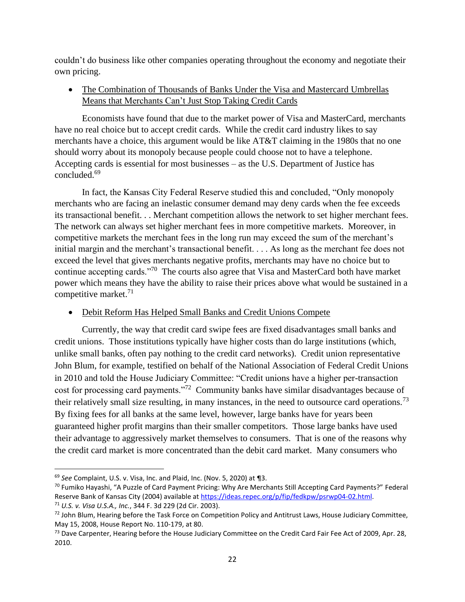couldn't do business like other companies operating throughout the economy and negotiate their own pricing.

• The Combination of Thousands of Banks Under the Visa and Mastercard Umbrellas Means that Merchants Can't Just Stop Taking Credit Cards

Economists have found that due to the market power of Visa and MasterCard, merchants have no real choice but to accept credit cards. While the credit card industry likes to say merchants have a choice, this argument would be like AT&T claiming in the 1980s that no one should worry about its monopoly because people could choose not to have a telephone. Accepting cards is essential for most businesses – as the U.S. Department of Justice has concluded. 69

In fact, the Kansas City Federal Reserve studied this and concluded, "Only monopoly merchants who are facing an inelastic consumer demand may deny cards when the fee exceeds its transactional benefit. . . Merchant competition allows the network to set higher merchant fees. The network can always set higher merchant fees in more competitive markets. Moreover, in competitive markets the merchant fees in the long run may exceed the sum of the merchant's initial margin and the merchant's transactional benefit. . . . As long as the merchant fee does not exceed the level that gives merchants negative profits, merchants may have no choice but to continue accepting cards."<sup>70</sup> The courts also agree that Visa and MasterCard both have market power which means they have the ability to raise their prices above what would be sustained in a competitive market.<sup>71</sup>

### • Debit Reform Has Helped Small Banks and Credit Unions Compete

Currently, the way that credit card swipe fees are fixed disadvantages small banks and credit unions. Those institutions typically have higher costs than do large institutions (which, unlike small banks, often pay nothing to the credit card networks). Credit union representative John Blum, for example, testified on behalf of the National Association of Federal Credit Unions in 2010 and told the House Judiciary Committee: "Credit unions have a higher per-transaction cost for processing card payments."<sup>72</sup> Community banks have similar disadvantages because of their relatively small size resulting, in many instances, in the need to outsource card operations.<sup>73</sup> By fixing fees for all banks at the same level, however, large banks have for years been guaranteed higher profit margins than their smaller competitors. Those large banks have used their advantage to aggressively market themselves to consumers. That is one of the reasons why the credit card market is more concentrated than the debit card market. Many consumers who

<sup>69</sup> *See* Complaint, U.S. v. Visa, Inc. and Plaid, Inc. (Nov. 5, 2020) at ¶3.

<sup>70</sup> Fumiko Hayashi, "A Puzzle of Card Payment Pricing: Why Are Merchants Still Accepting Card Payments?" Federal Reserve Bank of Kansas City (2004) available a[t https://ideas.repec.org/p/fip/fedkpw/psrwp04-02.html.](https://ideas.repec.org/p/fip/fedkpw/psrwp04-02.html)

<sup>71</sup> *U.S. v. Visa U.S.A., Inc.*, 344 F. 3d 229 (2d Cir. 2003).

 $72$  John Blum, Hearing before the Task Force on Competition Policy and Antitrust Laws, House Judiciary Committee, May 15, 2008, House Report No. 110-179, at 80.

 $^{73}$  Dave Carpenter, Hearing before the House Judiciary Committee on the Credit Card Fair Fee Act of 2009, Apr. 28, 2010.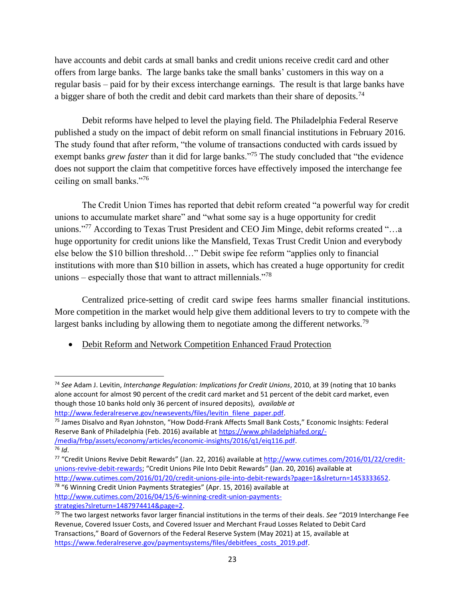have accounts and debit cards at small banks and credit unions receive credit card and other offers from large banks. The large banks take the small banks' customers in this way on a regular basis – paid for by their excess interchange earnings. The result is that large banks have a bigger share of both the credit and debit card markets than their share of deposits.<sup>74</sup>

Debit reforms have helped to level the playing field. The Philadelphia Federal Reserve published a study on the impact of debit reform on small financial institutions in February 2016. The study found that after reform, "the volume of transactions conducted with cards issued by exempt banks *grew faster* than it did for large banks."<sup>75</sup> The study concluded that "the evidence" does not support the claim that competitive forces have effectively imposed the interchange fee ceiling on small banks."<sup>76</sup>

The Credit Union Times has reported that debit reform created "a powerful way for credit unions to accumulate market share" and "what some say is a huge opportunity for credit unions."<sup>77</sup> According to Texas Trust President and CEO Jim Minge, debit reforms created "...a huge opportunity for credit unions like the Mansfield, Texas Trust Credit Union and everybody else below the \$10 billion threshold…" Debit swipe fee reform "applies only to financial institutions with more than \$10 billion in assets, which has created a huge opportunity for credit unions – especially those that want to attract millennials."<sup>78</sup>

Centralized price-setting of credit card swipe fees harms smaller financial institutions. More competition in the market would help give them additional levers to try to compete with the largest banks including by allowing them to negotiate among the different networks.<sup>79</sup>

• Debit Reform and Network Competition Enhanced Fraud Protection

[http://www.cutimes.com/2016/01/20/credit-unions-pile-into-debit-rewards?page=1&slreturn=1453333652.](http://www.cutimes.com/2016/01/20/credit-unions-pile-into-debit-rewards?page=1&slreturn=1453333652) <sup>78</sup> "6 Winning Credit Union Payments Strategies" (Apr. 15, 2016) available at

[http://www.cutimes.com/2016/04/15/6-winning-credit-union-payments-](http://www.cutimes.com/2016/04/15/6-winning-credit-union-payments-strategies?slreturn=1487974414&page=2)

[strategies?slreturn=1487974414&page=2.](http://www.cutimes.com/2016/04/15/6-winning-credit-union-payments-strategies?slreturn=1487974414&page=2)

<sup>74</sup> *See* Adam J. Levitin, *Interchange Regulation: Implications for Credit Unions*, 2010, at 39 (noting that 10 banks alone account for almost 90 percent of the credit card market and 51 percent of the debit card market, even though those 10 banks hold only 36 percent of insured deposits), *available at* [http://www.federalreserve.gov/newsevents/files/levitin\\_filene\\_paper.pdf.](http://www.federalreserve.gov/newsevents/files/levitin_filene_paper.pdf)

<sup>75</sup> James Disalvo and Ryan Johnston, "How Dodd-Frank Affects Small Bank Costs," Economic Insights: Federal Reserve Bank of Philadelphia (Feb. 2016) available at [https://www.philadelphiafed.org/-](https://www.philadelphiafed.org/-/media/frbp/assets/economy/articles/economic-insights/2016/q1/eiq116.pdf) [/media/frbp/assets/economy/articles/economic-insights/2016/q1/eiq116.pdf.](https://www.philadelphiafed.org/-/media/frbp/assets/economy/articles/economic-insights/2016/q1/eiq116.pdf)

<sup>76</sup> *Id*.

<sup>&</sup>lt;sup>77</sup> "Credit Unions Revive Debit Rewards" (Jan. 22, 2016) available at [http://www.cutimes.com/2016/01/22/credit](http://www.cutimes.com/2016/01/22/credit-unions-revive-debit-rewards)[unions-revive-debit-rewards;](http://www.cutimes.com/2016/01/22/credit-unions-revive-debit-rewards) "Credit Unions Pile Into Debit Rewards" (Jan. 20, 2016) available at

<sup>79</sup> The two largest networks favor larger financial institutions in the terms of their deals. *See* "2019 Interchange Fee Revenue, Covered Issuer Costs, and Covered Issuer and Merchant Fraud Losses Related to Debit Card Transactions," Board of Governors of the Federal Reserve System (May 2021) at 15, available at [https://www.federalreserve.gov/paymentsystems/files/debitfees\\_costs\\_2019.pdf.](https://www.federalreserve.gov/paymentsystems/files/debitfees_costs_2019.pdf)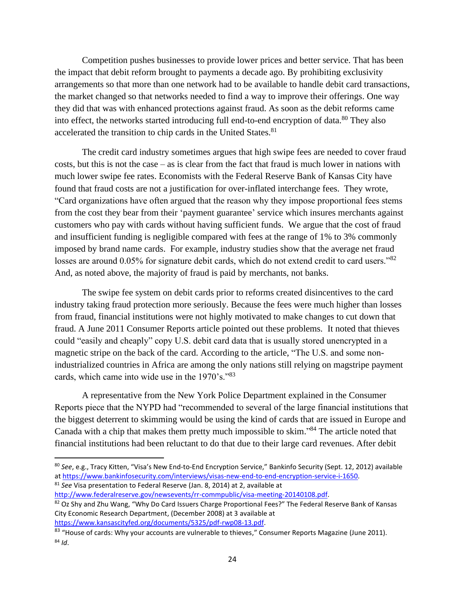Competition pushes businesses to provide lower prices and better service. That has been the impact that debit reform brought to payments a decade ago. By prohibiting exclusivity arrangements so that more than one network had to be available to handle debit card transactions, the market changed so that networks needed to find a way to improve their offerings. One way they did that was with enhanced protections against fraud. As soon as the debit reforms came into effect, the networks started introducing full end-to-end encryption of data. $80$  They also accelerated the transition to chip cards in the United States.<sup>81</sup>

The credit card industry sometimes argues that high swipe fees are needed to cover fraud costs, but this is not the case – as is clear from the fact that fraud is much lower in nations with much lower swipe fee rates. Economists with the Federal Reserve Bank of Kansas City have found that fraud costs are not a justification for over-inflated interchange fees. They wrote, "Card organizations have often argued that the reason why they impose proportional fees stems from the cost they bear from their 'payment guarantee' service which insures merchants against customers who pay with cards without having sufficient funds. We argue that the cost of fraud and insufficient funding is negligible compared with fees at the range of 1% to 3% commonly imposed by brand name cards. For example, industry studies show that the average net fraud losses are around 0.05% for signature debit cards, which do not extend credit to card users."<sup>82</sup> And, as noted above, the majority of fraud is paid by merchants, not banks.

The swipe fee system on debit cards prior to reforms created disincentives to the card industry taking fraud protection more seriously. Because the fees were much higher than losses from fraud, financial institutions were not highly motivated to make changes to cut down that fraud. A June 2011 Consumer Reports article pointed out these problems. It noted that thieves could "easily and cheaply" copy U.S. debit card data that is usually stored unencrypted in a magnetic stripe on the back of the card. According to the article, "The U.S. and some nonindustrialized countries in Africa are among the only nations still relying on magstripe payment cards, which came into wide use in the 1970's."<sup>83</sup>

A representative from the New York Police Department explained in the Consumer Reports piece that the NYPD had "recommended to several of the large financial institutions that the biggest deterrent to skimming would be using the kind of cards that are issued in Europe and Canada with a chip that makes them pretty much impossible to skim."<sup>84</sup> The article noted that financial institutions had been reluctant to do that due to their large card revenues. After debit

<sup>81</sup> *See* Visa presentation to Federal Reserve (Jan. 8, 2014) at 2, available at

[http://www.federalreserve.gov/newsevents/rr-commpublic/visa-meeting-20140108.pdf.](http://www.federalreserve.gov/newsevents/rr-commpublic/visa-meeting-20140108.pdf)

<sup>80</sup> *See*, e.g., Tracy Kitten, "Visa's New End-to-End Encryption Service," Bankinfo Security (Sept. 12, 2012) available a[t https://www.bankinfosecurity.com/interviews/visas-new-end-to-end-encryption-service-i-1650.](https://www.bankinfosecurity.com/interviews/visas-new-end-to-end-encryption-service-i-1650) 

<sup>82</sup> Oz Shy and Zhu Wang, "Why Do Card Issuers Charge Proportional Fees?" The Federal Reserve Bank of Kansas City Economic Research Department, (December 2008) at 3 available at [https://www.kansascityfed.org/documents/5325/pdf-rwp08-13.pdf.](https://www.kansascityfed.org/documents/5325/pdf-rwp08-13.pdf)

<sup>&</sup>lt;sup>83</sup> "House of cards: Why your accounts are vulnerable to thieves," Consumer Reports Magazine (June 2011). <sup>84</sup> *Id*.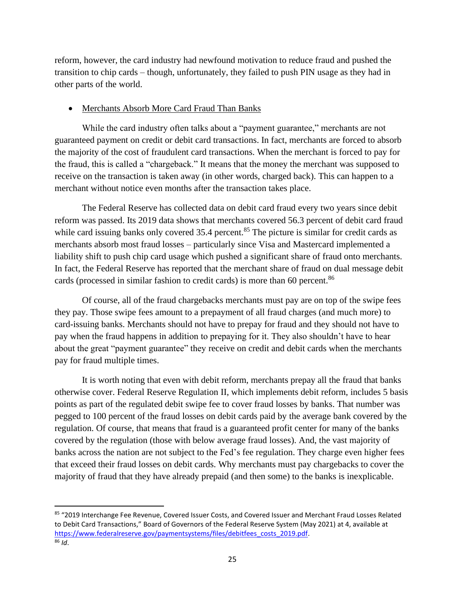reform, however, the card industry had newfound motivation to reduce fraud and pushed the transition to chip cards – though, unfortunately, they failed to push PIN usage as they had in other parts of the world.

#### • Merchants Absorb More Card Fraud Than Banks

While the card industry often talks about a "payment guarantee," merchants are not guaranteed payment on credit or debit card transactions. In fact, merchants are forced to absorb the majority of the cost of fraudulent card transactions. When the merchant is forced to pay for the fraud, this is called a "chargeback." It means that the money the merchant was supposed to receive on the transaction is taken away (in other words, charged back). This can happen to a merchant without notice even months after the transaction takes place.

The Federal Reserve has collected data on debit card fraud every two years since debit reform was passed. Its 2019 data shows that merchants covered 56.3 percent of debit card fraud while card issuing banks only covered 35.4 percent.<sup>85</sup> The picture is similar for credit cards as merchants absorb most fraud losses – particularly since Visa and Mastercard implemented a liability shift to push chip card usage which pushed a significant share of fraud onto merchants. In fact, the Federal Reserve has reported that the merchant share of fraud on dual message debit cards (processed in similar fashion to credit cards) is more than 60 percent.<sup>86</sup>

Of course, all of the fraud chargebacks merchants must pay are on top of the swipe fees they pay. Those swipe fees amount to a prepayment of all fraud charges (and much more) to card-issuing banks. Merchants should not have to prepay for fraud and they should not have to pay when the fraud happens in addition to prepaying for it. They also shouldn't have to hear about the great "payment guarantee" they receive on credit and debit cards when the merchants pay for fraud multiple times.

It is worth noting that even with debit reform, merchants prepay all the fraud that banks otherwise cover. Federal Reserve Regulation II, which implements debit reform, includes 5 basis points as part of the regulated debit swipe fee to cover fraud losses by banks. That number was pegged to 100 percent of the fraud losses on debit cards paid by the average bank covered by the regulation. Of course, that means that fraud is a guaranteed profit center for many of the banks covered by the regulation (those with below average fraud losses). And, the vast majority of banks across the nation are not subject to the Fed's fee regulation. They charge even higher fees that exceed their fraud losses on debit cards. Why merchants must pay chargebacks to cover the majority of fraud that they have already prepaid (and then some) to the banks is inexplicable.

<sup>85 &</sup>quot;2019 Interchange Fee Revenue, Covered Issuer Costs, and Covered Issuer and Merchant Fraud Losses Related to Debit Card Transactions," Board of Governors of the Federal Reserve System (May 2021) at 4, available at [https://www.federalreserve.gov/paymentsystems/files/debitfees\\_costs\\_2019.pdf.](https://www.federalreserve.gov/paymentsystems/files/debitfees_costs_2019.pdf) <sup>86</sup> *Id*.